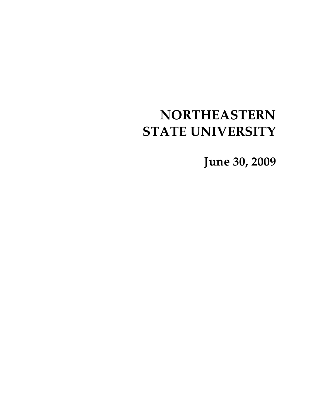# **NORTHEASTERN STATE UNIVERSITY**

**June 30, 2009**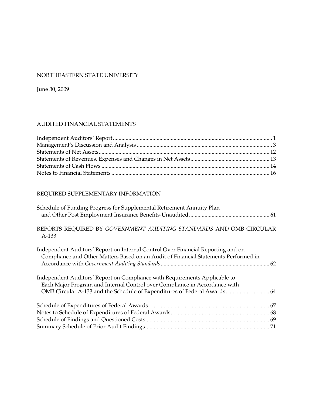#### NORTHEASTERN STATE UNIVERSITY

June 30, 2009

## AUDITED FINANCIAL STATEMENTS

# REQUIRED SUPPLEMENTARY INFORMATION

| REPORTS REQUIRED BY GOVERNMENT AUDITING STANDARDS AND OMB CIRCULAR       |
|--------------------------------------------------------------------------|
|                                                                          |
|                                                                          |
|                                                                          |
|                                                                          |
|                                                                          |
| OMB Circular A-133 and the Schedule of Expenditures of Federal Awards 64 |
|                                                                          |
|                                                                          |
|                                                                          |
|                                                                          |
|                                                                          |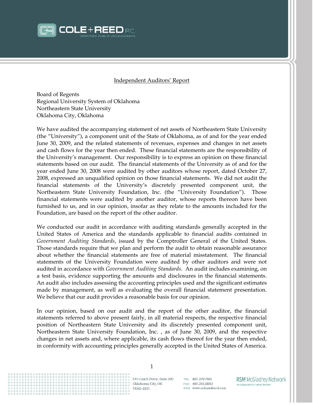

#### Independent Auditors' Report

Board of Regents Regional University System of Oklahoma Northeastern State University Oklahoma City, Oklahoma

We have audited the accompanying statement of net assets of Northeastern State University (the "University"), a component unit of the State of Oklahoma, as of and for the year ended June 30, 2009, and the related statements of revenues, expenses and changes in net assets and cash flows for the year then ended. These financial statements are the responsibility of the University's management. Our responsibility is to express an opinion on these financial statements based on our audit. The financial statements of the University as of and for the year ended June 30, 2008 were audited by other auditors whose report, dated October 27, 2008, expressed an unqualified opinion on those financial statements. We did not audit the financial statements of the University's discretely presented component unit, the Northeastern State University Foundation, Inc. (the "University Foundation"). Those financial statements were audited by another auditor, whose reports thereon have been furnished to us, and in our opinion, insofar as they relate to the amounts included for the Foundation, are based on the report of the other auditor.

Government Auditing Standards, issued by the Comptroller General of the United States. about whether the financial statements are free of material misstatement. The financial  audited in accordance with *Government Auditing Standards*. An audit includes examining, on made by management, as well as evaluating the overall financial statement presentation. We conducted our audit in accordance with auditing standards generally accepted in the United States of America and the standards applicable to financial audits contained in Those standards require that we plan and perform the audit to obtain reasonable assurance statements of the University Foundation were audited by other auditors and were not a test basis, evidence supporting the amounts and disclosures in the financial statements. An audit also includes assessing the accounting principles used and the significant estimates We believe that our audit provides a reasonable basis for our opinion.

In our opinion, based on our audit and the report of the other auditor, the financial statements referred to above present fairly, in all material respects, the respective financial position of Northeastern State University and its discretely presented component unit, Northeastern State University Foundation, Inc. , as of June 30, 2009, and the respective changes in net assets and, where applicable, its cash flows thereof for the year then ended, in conformity with accounting principles generally accepted in the United States of America.



531 Couch Drive, Suite 200 Oklahoma City, OK 73102-2251

TEL 405.239.7961 FAX 405.235.0042 WEB www.coleandreed.com **RSM McGladrey Network** An Independently Owned Member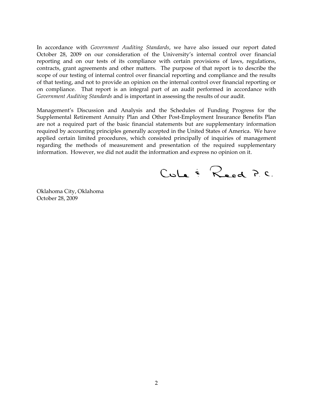In accordance with *Government Auditing Standards*, we have also issued our report dated October 28, 2009 on our consideration of the University's internal control over financial reporting and on our tests of its compliance with certain provisions of laws, regulations, contracts, grant agreements and other matters. The purpose of that report is to describe the scope of our testing of internal control over financial reporting and compliance and the results of that testing, and not to provide an opinion on the internal control over financial reporting or on compliance. That report is an integral part of an audit performed in accordance with *Government Auditing Standards* and is important in assessing the results of our audit.

Management's Discussion and Analysis and the Schedules of Funding Progress for the Supplemental Retirement Annuity Plan and Other Post-Employment Insurance Benefits Plan are not a required part of the basic financial statements but are supplementary information required by accounting principles generally accepted in the United States of America. We have applied certain limited procedures, which consisted principally of inquiries of management regarding the methods of measurement and presentation of the required supplementary information. However, we did not audit the information and express no opinion on it.

 $Cole \in R_{ed}$  P.C.

Oklahoma City, Oklahoma October 28, 2009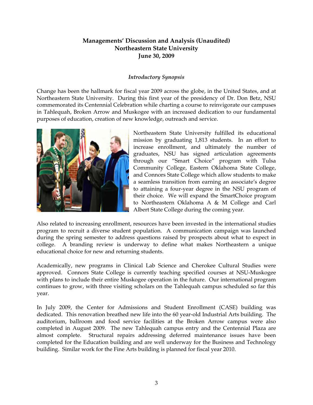#### *Introductory Synopsis*

Change has been the hallmark for fiscal year 2009 across the globe, in the United States, and at Northeastern State University. During this first year of the presidency of Dr. Don Betz, NSU commemorated its Centennial Celebration while charting a course to reinvigorate our campuses in Tahlequah, Broken Arrow and Muskogee with an increased dedication to our fundamental purposes of education, creation of new knowledge, outreach and service.



Northeastern State University fulfilled its educational mission by graduating 1,813 students. In an effort to increase enrollment, and ultimately the number of graduates, NSU has signed articulation agreements through our "Smart Choice" program with Tulsa Community College, Eastern Oklahoma State College, and Connors State College which allow students to make a seamless transition from earning an associate's degree to attaining a four-year degree in the NSU program of their choice. We will expand the SmartChoice program to Northeastern Oklahoma A & M College and Carl Albert State College during the coming year.

Also related to increasing enrollment, resources have been invested in the international studies program to recruit a diverse student population. A communication campaign was launched during the spring semester to address questions raised by prospects about what to expect in college. A branding review is underway to define what makes Northeastern a unique educational choice for new and returning students.

Academically, new programs in Clinical Lab Science and Cherokee Cultural Studies were approved. Connors State College is currently teaching specified courses at NSU-Muskogee with plans to include their entire Muskogee operation in the future. Our international program continues to grow, with three visiting scholars on the Tahlequah campus scheduled so far this year.

In July 2009, the Center for Admissions and Student Enrollment (CASE) building was dedicated. This renovation breathed new life into the 60 year-old Industrial Arts building. The auditorium, ballroom and food service facilities at the Broken Arrow campus were also completed in August 2009. The new Tahlequah campus entry and the Centennial Plaza are almost complete. Structural repairs addressing deferred maintenance issues have been completed for the Education building and are well underway for the Business and Technology building. Similar work for the Fine Arts building is planned for fiscal year 2010.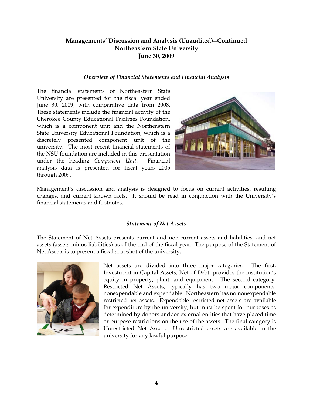#### *Overview of Financial Statements and Financial Analysis*

June 30, 2009, with comparative data from 2008. The financial statements of Northeastern State University are presented for the fiscal year ended These statements include the financial activity of the Cherokee County Educational Facilities Foundation, which is a component unit and the Northeastern State University Educational Foundation, which is a discretely presented component unit of the university. The most recent financial statements of the NSU foundation are included in this presentation under the heading *Component Unit*. Financial analysis data is presented for fiscal years 2005 through 2009.



Management's discussion and analysis is designed to focus on current activities, resulting changes, and current known facts. It should be read in conjunction with the University's financial statements and footnotes.

## *Statement of Net Assets*

The Statement of Net Assets presents current and non-current assets and liabilities, and net assets (assets minus liabilities) as of the end of the fiscal year. The purpose of the Statement of Net Assets is to present a fiscal snapshot of the university.



 nonexpendable and expendable. Northeastern has no nonexpendable or purpose restrictions on the use of the assets. The final category is Net assets are divided into three major categories. The first, Investment in Capital Assets, Net of Debt, provides the institution's equity in property, plant, and equipment. The second category, Restricted Net Assets, typically has two major components: restricted net assets. Expendable restricted net assets are available for expenditure by the university, but must be spent for purposes as determined by donors and/or external entities that have placed time Unrestricted Net Assets. Unrestricted assets are available to the university for any lawful purpose.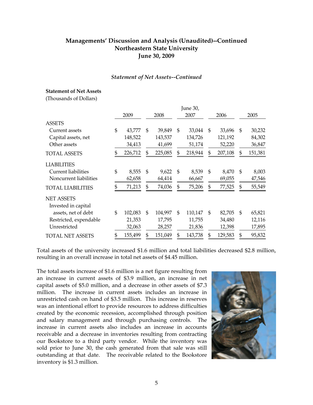#### *Statement of Net Assets--Continued*

#### **Statement of Net Assets**

(Thousands of Dollars)

|                            |               |               |     | June 30, |               |               |
|----------------------------|---------------|---------------|-----|----------|---------------|---------------|
|                            | 2009          | 2008          |     | 2007     | 2006          | 2005          |
| <b>ASSETS</b>              |               |               |     |          |               |               |
| Current assets             | \$<br>43,777  | \$<br>39,849  | \$  | 33,044   | \$<br>33,696  | \$<br>30,232  |
| Capital assets, net        | 148,522       | 143,537       |     | 134,726  | 121,192       | 84,302        |
| Other assets               | 34,413        | 41,699        |     | 51,174   | 52,220        | 36,847        |
| <b>TOTAL ASSETS</b>        | \$<br>226,712 | \$<br>225,085 | \$  | 218,944  | \$<br>207,108 | \$<br>151,381 |
| <b>LIABILITIES</b>         |               |               |     |          |               |               |
| <b>Current liabilities</b> | \$<br>8,555   | \$<br>9,622   | \$  | 8,539    | \$<br>8,470   | \$<br>8,003   |
| Noncurrent liabilities     | 62,658        | 64,414        |     | 66,667   | 69,055        | 47,546        |
| <b>TOTAL LIABILITIES</b>   | \$<br>71,213  | \$<br>74,036  | \$  | 75,206   | \$<br>77,525  | \$<br>55,549  |
| <b>NET ASSETS</b>          |               |               |     |          |               |               |
| Invested in capital        |               |               |     |          |               |               |
| assets, net of debt        | \$<br>102,083 | \$<br>104,997 | \$. | 110,147  | \$<br>82,705  | \$<br>65,821  |
| Restricted, expendable     | 21,353        | 17,795        |     | 11,755   | 34,480        | 12,116        |
| Unrestricted               | 32,063        | 28,257        |     | 21,836   | 12,398        | 17,895        |
| <b>TOTAL NET ASSETS</b>    | \$<br>155,499 | \$<br>151,049 | \$  | 143,738  | \$<br>129,583 | \$<br>95,832  |

Total assets of the university increased \$1.6 million and total liabilities decreased \$2.8 million, resulting in an overall increase in total net assets of \$4.45 million.

The total assets increase of \$1.6 million is a net figure resulting from an increase in current assets of \$3.9 million, an increase in net capital assets of \$5.0 million, and a decrease in other assets of \$7.3 million. The increase in current assets includes an increase in unrestricted cash on hand of \$3.5 million. This increase in reserves was an intentional effort to provide resources to address difficulties created by the economic recession, accomplished through position and salary management and through purchasing controls. The increase in current assets also includes an increase in accounts receivable and a decrease in inventories resulting from contracting our Bookstore to a third party vendor. While the inventory was sold prior to June 30, the cash generated from that sale was still outstanding at that date. The receivable related to the Bookstore inventory is \$1.3 million.

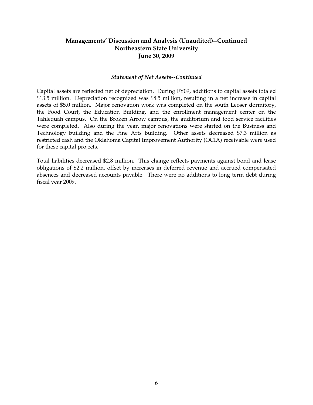#### *Statement of Net Assets--Continued*

Capital assets are reflected net of depreciation. During FY09, additions to capital assets totaled \$13.5 million. Depreciation recognized was \$8.5 million, resulting in a net increase in capital assets of \$5.0 million. Major renovation work was completed on the south Leoser dormitory, the Food Court, the Education Building, and the enrollment management center on the Tahlequah campus. On the Broken Arrow campus, the auditorium and food service facilities were completed. Also during the year, major renovations were started on the Business and Technology building and the Fine Arts building. Other assets decreased \$7.3 million as restricted cash and the Oklahoma Capital Improvement Authority (OCIA) receivable were used for these capital projects.

Total liabilities decreased \$2.8 million. This change reflects payments against bond and lease obligations of \$2.2 million, offset by increases in deferred revenue and accrued compensated absences and decreased accounts payable. There were no additions to long term debt during fiscal year 2009.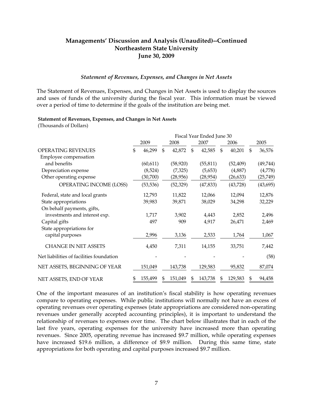#### *Statement of Revenues, Expenses, and Changes in Net Assets*

The Statement of Revenues, Expenses, and Changes in Net Assets is used to display the sources and uses of funds of the university during the fiscal year. This information must be viewed over a period of time to determine if the goals of the institution are being met.

#### **Statement of Revenues, Expenses, and Changes in Net Assets**

(Thousands of Dollars)

|                                          | Fiscal Year Ended June 30 |           |              |           |                |           |    |           |                |           |
|------------------------------------------|---------------------------|-----------|--------------|-----------|----------------|-----------|----|-----------|----------------|-----------|
|                                          |                           | 2009      |              | 2008      |                | 2007      |    | 2006      |                | 2005      |
| OPERATING REVENUES                       | \$                        | 46,299    | $\mathbb{S}$ | 42,872    | $\mathfrak{L}$ | 42,585    | \$ | 40,201    | $\mathfrak{L}$ | 36,576    |
| Employee compensation                    |                           |           |              |           |                |           |    |           |                |           |
| and benefits                             |                           | (60, 611) |              | (58, 920) |                | (55, 811) |    | (52, 409) |                | (49,744)  |
| Depreciation expense                     |                           | (8,524)   |              | (7,325)   |                | (5,653)   |    | (4,887)   |                | (4,778)   |
| Other operating expense                  |                           | (30,700)  |              | (28,956)  |                | (28,954)  |    | (26, 633) |                | (25, 749) |
| OPERATING INCOME (LOSS)                  |                           | (53, 536) |              | (52, 329) |                | (47, 833) |    | (43,728)  |                | (43, 695) |
| Federal, state and local grants          |                           | 12,793    |              | 11,822    |                | 12,066    |    | 12,094    |                | 12,876    |
| State appropriations                     |                           | 39,983    |              | 39,871    |                | 38,029    |    | 34,298    |                | 32,229    |
| On behalf payments, gifts,               |                           |           |              |           |                |           |    |           |                |           |
| investments and interest exp.            |                           | 1,717     |              | 3,902     |                | 4,443     |    | 2,852     |                | 2,496     |
| Capital gifts                            |                           | 497       |              | 909       |                | 4,917     |    | 26,471    |                | 2,469     |
| State appropriations for                 |                           |           |              |           |                |           |    |           |                |           |
| capital purposes                         |                           | 2,996     |              | 3,136     |                | 2,533     |    | 1,764     |                | 1,067     |
| <b>CHANGE IN NET ASSETS</b>              |                           | 4,450     |              | 7,311     |                | 14,155    |    | 33,751    |                | 7,442     |
| Net liabilities of facilities foundation |                           |           |              |           |                |           |    |           |                | (58)      |
| NET ASSETS, BEGINNING OF YEAR            |                           | 151,049   |              | 143,738   |                | 129,583   |    | 95,832    |                | 87,074    |
| NET ASSETS, END OF YEAR                  |                           | 155,499   | S            | 151,049   | \$             | 143,738   |    | 129,583   |                | 94,458    |

One of the important measures of an institution's fiscal stability is how operating revenues compare to operating expenses. While public institutions will normally not have an excess of operating revenues over operating expenses (state appropriations are considered non-operating revenues under generally accepted accounting principles), it is important to understand the relationship of revenues to expenses over time. The chart below illustrates that in each of the last five years, operating expenses for the university have increased more than operating revenues. Since 2005, operating revenue has increased \$9.7 million, while operating expenses have increased \$19.6 million, a difference of \$9.9 million. During this same time, state appropriations for both operating and capital purposes increased \$9.7 million.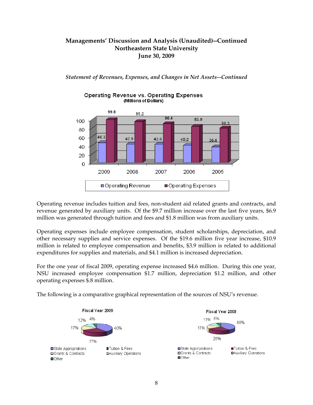*Statement of Revenues, Expenses, and Changes in Net Assets--Continued* 



#### **Operating Revenue vs. Operating Expenses** (Millions of Dollars)

Operating revenue includes tuition and fees, non-student aid related grants and contracts, and revenue generated by auxiliary units. Of the \$9.7 million increase over the last five years, \$6.9 million was generated through tuition and fees and \$1.8 million was from auxiliary units.

Operating expenses include employee compensation, student scholarships, depreciation, and other necessary supplies and service expenses. Of the \$19.6 million five year increase, \$10.9 million is related to employee compensation and benefits, \$3.9 million is related to additional expenditures for supplies and materials, and \$4.1 million is increased depreciation.

For the one year of fiscal 2009, operating expense increased \$4.6 million. During this one year, NSU increased employee compensation \$1.7 million, depreciation \$1.2 million, and other operating expenses \$.8 million.

The following is a comparative graphical representation of the sources of NSU's revenue.

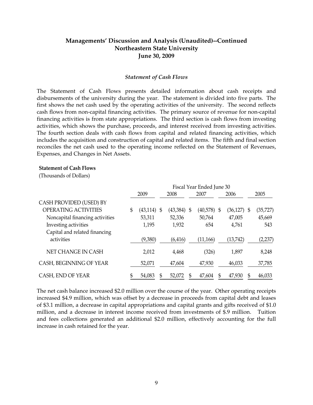#### *Statement of Cash Flows*

The Statement of Cash Flows presents detailed information about cash receipts and disbursements of the university during the year. The statement is divided into five parts. The first shows the net cash used by the operating activities of the university. The second reflects cash flows from non-capital financing activities. The primary source of revenue for non-capital financing activities is from state appropriations. The third section is cash flows from investing activities, which shows the purchase, proceeds, and interest received from investing activities. The fourth section deals with cash flows from capital and related financing activities, which includes the acquisition and construction of capital and related items. The fifth and final section reconciles the net cash used to the operating income reflected on the Statement of Revenues, Expenses, and Changes in Net Assets.

#### **Statement of Cash Flows**

(Thousands of Dollars)

|                                             | Fiscal Year Ended June 30 |               |  |               |   |           |   |               |  |           |
|---------------------------------------------|---------------------------|---------------|--|---------------|---|-----------|---|---------------|--|-----------|
|                                             |                           | 2009          |  | 2008          |   | 2007      |   | 2006          |  | 2005      |
| CASH PROVIDED (USED) BY                     |                           |               |  |               |   |           |   |               |  |           |
| <b>OPERATING ACTIVITIES</b>                 | \$                        | $(43,114)$ \$ |  | $(43,384)$ \$ |   | (40,578)  | S | $(36,127)$ \$ |  | (35, 727) |
| Noncapital financing activities             |                           | 53,311        |  | 52,336        |   | 50,764    |   | 47,005        |  | 45,669    |
| Investing activities                        |                           | 1,195         |  | 1,932         |   | 654       |   | 4,761         |  | 543       |
| Capital and related financing<br>activities |                           | (9,380)       |  | (6, 416)      |   | (11, 166) |   | (13,742)      |  | (2,237)   |
| NET CHANGE IN CASH                          |                           | 2,012         |  | 4,468         |   | (326)     |   | 1,897         |  | 8,248     |
| CASH, BEGINNING OF YEAR                     |                           | 52,071        |  | 47,604        |   | 47,930    |   | 46,033        |  | 37,785    |
| CASH, END OF YEAR                           |                           | 54,083        |  | 52,072        | S | 47,604    |   | 47,930        |  | 46,033    |

The net cash balance increased \$2.0 million over the course of the year. Other operating receipts increased \$4.9 million, which was offset by a decrease in proceeds from capital debt and leases of \$3.1 million, a decrease in capital appropriations and capital grants and gifts received of \$1.0 million, and a decrease in interest income received from investments of \$.9 million. Tuition and fees collections generated an additional \$2.0 million, effectively accounting for the full increase in cash retained for the year.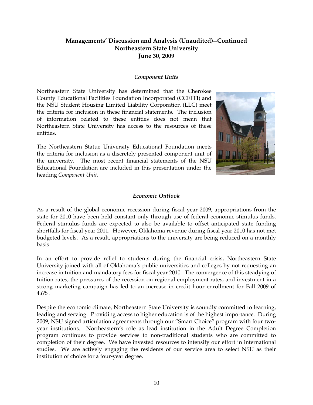#### *Component Units*

Northeastern State University has determined that the Cherokee County Educational Facilities Foundation Incorporated (CCEFFI) and the NSU Student Housing Limited Liability Corporation (LLC) meet the criteria for inclusion in these financial statements. The inclusion of information related to these entities does not mean that Northeastern State University has access to the resources of these entities.

The Northeastern Statue University Educational Foundation meets the criteria for inclusion as a discretely presented component unit of the university. The most recent financial statements of the NSU Educational Foundation are included in this presentation under the heading *Component Unit*.



#### *Economic Outlook*

As a result of the global economic recession during fiscal year 2009, appropriations from the state for 2010 have been held constant only through use of federal economic stimulus funds. Federal stimulus funds are expected to also be available to offset anticipated state funding shortfalls for fiscal year 2011. However, Oklahoma revenue during fiscal year 2010 has not met budgeted levels. As a result, appropriations to the university are being reduced on a monthly basis.

In an effort to provide relief to students during the financial crisis, Northeastern State University joined with all of Oklahoma's public universities and colleges by not requesting an increase in tuition and mandatory fees for fiscal year 2010. The convergence of this steadying of tuition rates, the pressures of the recession on regional employment rates, and investment in a strong marketing campaign has led to an increase in credit hour enrollment for Fall 2009 of 4.6%.

Despite the economic climate, Northeastern State University is soundly committed to learning, leading and serving. Providing access to higher education is of the highest importance. During 2009, NSU signed articulation agreements through our "Smart Choice" program with four twoyear institutions. Northeastern's role as lead institution in the Adult Degree Completion program continues to provide services to non-traditional students who are committed to completion of their degree. We have invested resources to intensify our effort in international studies. We are actively engaging the residents of our service area to select NSU as their institution of choice for a four-year degree.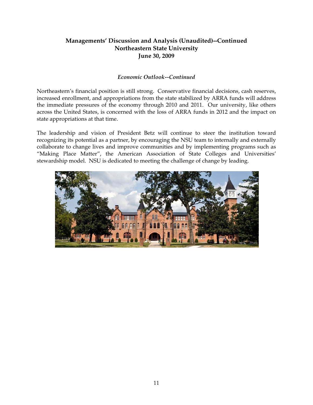## *Economic Outlook--Continued*

Northeastern's financial position is still strong. Conservative financial decisions, cash reserves, increased enrollment, and appropriations from the state stabilized by ARRA funds will address the immediate pressures of the economy through 2010 and 2011. Our university, like others across the United States, is concerned with the loss of ARRA funds in 2012 and the impact on state appropriations at that time.

The leadership and vision of President Betz will continue to steer the institution toward recognizing its potential as a partner, by encouraging the NSU team to internally and externally collaborate to change lives and improve communities and by implementing programs such as "Making Place Matter", the American Association of State Colleges and Universities' stewardship model. NSU is dedicated to meeting the challenge of change by leading.

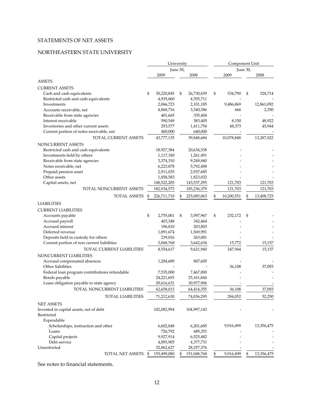#### STATEMENTS OF NET ASSETS

## NORTHEASTERN STATE UNIVERSITY

|                                               | University        |          | Component Unit |                  |          |            |
|-----------------------------------------------|-------------------|----------|----------------|------------------|----------|------------|
|                                               |                   | June 30, |                |                  | June 30, |            |
|                                               | 2009              |          | 2008           | 2009             |          | 2008       |
| <b>ASSETS</b>                                 |                   |          |                |                  |          |            |
| <b>CURRENT ASSETS</b>                         |                   |          |                |                  |          |            |
| Cash and cash equivalents                     | \$<br>30,220,845  | \$       | 26,730,839     | \$<br>534,790    | \$       | 328,714    |
| Restricted cash and cash equivalents          | 4,935,060         |          | 4,705,711      |                  |          |            |
| Investments                                   | 2,066,723         |          | 2,101,185      | 9,486,869        |          | 12,861,092 |
| Accounts receivable, net                      | 4,868,716         |          | 3,340,386      | 666              |          | 2,350      |
| Receivable from state agencies                | 401,665           |          | 335,404        |                  |          |            |
| Interest receivable                           | 590,549           |          | 583,405        | 8,150            |          | 48,922     |
| Inventories and other current assets          | 293,577           |          | 1,411,754      | 48,373           |          | 45,944     |
| Current portion of notes receivable, net      | 400,000           |          | 640,000        |                  |          |            |
| TOTAL CURRENT ASSETS                          | 43,777,135        |          | 39,848,684     | 10,078,848       |          | 13,287,022 |
| NONCURRENT ASSETS                             |                   |          |                |                  |          |            |
| Restricted cash and cash equivalents          | 18,927,384        |          | 20,634,538     |                  |          |            |
| Investments held by others                    | 1,117,180         |          | 1,261,491      |                  |          |            |
| Receivable from state agencies                | 3,374,310         |          | 9,249,840      |                  |          |            |
| Notes receivable, net                         | 6,223,878         |          | 5,792,498      |                  |          |            |
| Prepaid pension asset                         | 2,911,035         |          | 2,937,685      |                  |          |            |
| Other assets                                  | 1,858,583         |          | 1,823,032      |                  |          |            |
| Capital assets, net                           | 148,522,205       |          | 143,537,295    | 121,703          |          | 121,703    |
| TOTAL NONCURRENT ASSETS                       | 182,934,575       |          | 185,236,379    | 121,703          |          | 121,703    |
| TOTAL ASSETS                                  | \$<br>226,711,710 | \$       | 225,085,063    | \$<br>10,200,551 | \$       | 13,408,725 |
|                                               |                   |          |                |                  |          |            |
| <b>LIABILITIES</b>                            |                   |          |                |                  |          |            |
| <b>CURRENT LIABILITIES</b>                    |                   |          |                |                  |          |            |
| Accounts payable                              | \$<br>2,755,001   | \$       | 3,597,967      | \$<br>232,172    | \$       |            |
| Accrued payroll                               | 403,348           |          | 342,464        |                  |          |            |
| Accrued interest                              | 196,810           |          | 203,803        |                  |          |            |
| Deferred revenue                              | 1,891,674         |          | 1,569,991      |                  |          |            |
| Deposits held in custody for others           | 239,016           |          | 265,081        |                  |          |            |
| Current portion of non current liabilities    | 3,068,768         |          | 3,642,634      | 15,772           |          | 15,157     |
| <b>TOTAL CURRENT LIABILITIES</b>              | 8,554,617         |          | 9,621,940      | 247,944          |          | 15,157     |
| NONCURRENT LIABILITIES                        |                   |          |                |                  |          |            |
| Accrued compensated absences                  | 1,284,689         |          | 807,605        |                  |          |            |
| Other liabilities                             |                   |          |                | 36,108           |          | 37,093     |
| Federal loan program contributions refundable | 7,535,000         |          | 7,467,000      |                  |          |            |
| Bonds payable                                 | 24,221,693        |          | 25,161,844     |                  |          |            |
| Lease obligation payable to state agency      | 29,616,631        |          | 30,977,906     |                  |          |            |
| TOTAL NONCURRENT LIABILITIES                  | 62,658,013        |          | 64,414,355     | 36,108           |          | 37,093     |
| <b>TOTAL LIABILITIES</b>                      | 71,212,630        |          | 74,036,295     | 284,052          |          | 52,250     |
| <b>NET ASSETS</b>                             |                   |          |                |                  |          |            |
| Invested in capital assets, net of debt       | 102,082,994       |          | 104,997,143    |                  |          |            |
| Restricted                                    |                   |          |                |                  |          |            |
| Expendable                                    |                   |          |                |                  |          |            |
| Scholarships, instruction and other           | 6,602,848         |          | 6,201,685      | 9,916,499        |          | 13,356,475 |
| Loans                                         | 726,792           |          | 689,351        |                  |          |            |
| Capital projects                              | 9,927,914         |          | 6,525,482      |                  |          |            |
| Debt service                                  | 4,095,905         |          | 4,377,731      |                  |          |            |
| Unrestricted                                  | 32,062,627        |          | 28,257,376     |                  |          |            |
| TOTAL NET ASSETS                              | \$<br>155,499,080 | \$       | 151,048,768    | \$<br>9,916,499  | \$       | 13,356,475 |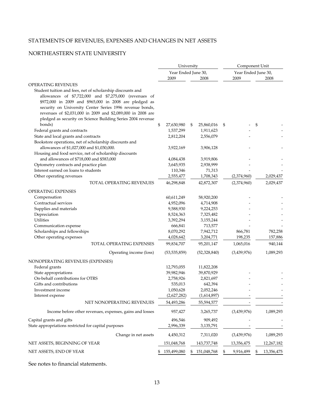#### STATEMENTS OF REVENUES, EXPENSES AND CHANGES IN NET ASSETS

#### NORTHEASTERN STATE UNIVERSITY

| Year Ended June 30,<br>Year Ended June 30,<br>2009<br>2009<br>2008<br>2008<br>Student tuition and fees, net of scholarship discounts and<br>allowances of \$7,722,000 and \$7,275,000 (revenues of<br>\$972,000 in 2009 and \$965,000 in 2008 are pledged as<br>security on University Center Series 1996 revenue bonds,<br>revenues of \$2,031,000 in 2009 and \$2,089,000 in 2008 are<br>pledged as security on Science Building Series 2004 revenue<br>bonds)<br>\$<br>27,630,980<br>\$<br>25,860,016<br>\$<br>\$<br>Federal grants and contracts<br>1,537,299<br>1,911,623<br>State and local grants and contracts<br>2,812,204<br>2,556,079<br>Bookstore operations, net of scholarship discounts and<br>allowances of \$1,027,000 and \$1,030,000.<br>3,922,169<br>3,906,128<br>Housing and food service, net of scholarship discounts<br>and allowances of \$718,000 and \$583,000<br>4,084,438<br>3,919,806<br>Optometry contracts and practice plan<br>3,645,935<br>2,938,999<br>Interest earned on loans to students<br>110,346<br>71,313<br>2,029,437<br>Other operating revenues<br>2,555,477<br>1,708,343<br>(2,374,960)<br>TOTAL OPERATING REVENUES<br>46,298,848<br>42,872,307<br>(2,374,960)<br>2,029,437<br><b>OPERATING EXPENSES</b><br>Compensation<br>60,611,249<br>58,920,200<br>Contractual services<br>4,952,096<br>4,714,908<br>Supplies and materials<br>9,588,930<br>9,224,253<br>Depreciation<br>8,524,363<br>7,325,482<br>Utilities<br>3,392,294<br>3,155,244<br>Communication expense<br>666,841<br>713,577<br>Scholarships and fellowships<br>8,070,292<br>7,942,712<br>782,258<br>866,781<br>Other operating expenses<br>4,028,642<br>157,886<br>3,204,771<br>198,235<br>TOTAL OPERATING EXPENSES<br>99,834,707<br>95,201,147<br>1,065,016<br>940,144<br>1,089,293<br>Operating income (loss)<br>(53, 535, 859)<br>(52, 328, 840)<br>(3,439,976)<br>NONOPERATING REVENUES (EXPENSES)<br>Federal grants<br>12,793,055<br>11,822,208<br>State appropriations<br>39,982,946<br>39,870,929<br>On-behalf contributions for OTRS<br>2,821,697<br>2,758,926<br>Gifts and contributions<br>535,013<br>642,394<br>1,050,628<br>2,052,246<br>Investment income<br>(2,627,282)<br>(1,614,897)<br>Interest expense<br>NET NONOPERATING REVENUES<br>54,493,286<br>55,594,577<br>(3,439,976)<br>1,089,293<br>Income before other revenues, expenses, gains and losses<br>957,427<br>3,265,737<br>Capital grants and gifts<br>909,492<br>496,546<br>State appropriations restricted for capital purposes<br>2,996,339<br>3,135,791<br>1,089,293<br>(3,439,976)<br>Change in net assets<br>4,450,312<br>7,311,020<br>151,048,768<br>13,356,475<br>12,267,182<br>143,737,748<br>NET ASSETS, END OF YEAR<br>155,499,080<br>9,916,499<br>13,356,475<br>151,048,768<br>\$<br>\$ |                               | University | Component Unit |
|--------------------------------------------------------------------------------------------------------------------------------------------------------------------------------------------------------------------------------------------------------------------------------------------------------------------------------------------------------------------------------------------------------------------------------------------------------------------------------------------------------------------------------------------------------------------------------------------------------------------------------------------------------------------------------------------------------------------------------------------------------------------------------------------------------------------------------------------------------------------------------------------------------------------------------------------------------------------------------------------------------------------------------------------------------------------------------------------------------------------------------------------------------------------------------------------------------------------------------------------------------------------------------------------------------------------------------------------------------------------------------------------------------------------------------------------------------------------------------------------------------------------------------------------------------------------------------------------------------------------------------------------------------------------------------------------------------------------------------------------------------------------------------------------------------------------------------------------------------------------------------------------------------------------------------------------------------------------------------------------------------------------------------------------------------------------------------------------------------------------------------------------------------------------------------------------------------------------------------------------------------------------------------------------------------------------------------------------------------------------------------------------------------------------------------------------------------------------------------------------------------------------------------------------------------------------------------------------------------------------------------------------------------------------------------------------------------------------------------------------------------------------------------------------|-------------------------------|------------|----------------|
|                                                                                                                                                                                                                                                                                                                                                                                                                                                                                                                                                                                                                                                                                                                                                                                                                                                                                                                                                                                                                                                                                                                                                                                                                                                                                                                                                                                                                                                                                                                                                                                                                                                                                                                                                                                                                                                                                                                                                                                                                                                                                                                                                                                                                                                                                                                                                                                                                                                                                                                                                                                                                                                                                                                                                                                            |                               |            |                |
|                                                                                                                                                                                                                                                                                                                                                                                                                                                                                                                                                                                                                                                                                                                                                                                                                                                                                                                                                                                                                                                                                                                                                                                                                                                                                                                                                                                                                                                                                                                                                                                                                                                                                                                                                                                                                                                                                                                                                                                                                                                                                                                                                                                                                                                                                                                                                                                                                                                                                                                                                                                                                                                                                                                                                                                            |                               |            |                |
|                                                                                                                                                                                                                                                                                                                                                                                                                                                                                                                                                                                                                                                                                                                                                                                                                                                                                                                                                                                                                                                                                                                                                                                                                                                                                                                                                                                                                                                                                                                                                                                                                                                                                                                                                                                                                                                                                                                                                                                                                                                                                                                                                                                                                                                                                                                                                                                                                                                                                                                                                                                                                                                                                                                                                                                            | <b>OPERATING REVENUES</b>     |            |                |
|                                                                                                                                                                                                                                                                                                                                                                                                                                                                                                                                                                                                                                                                                                                                                                                                                                                                                                                                                                                                                                                                                                                                                                                                                                                                                                                                                                                                                                                                                                                                                                                                                                                                                                                                                                                                                                                                                                                                                                                                                                                                                                                                                                                                                                                                                                                                                                                                                                                                                                                                                                                                                                                                                                                                                                                            |                               |            |                |
|                                                                                                                                                                                                                                                                                                                                                                                                                                                                                                                                                                                                                                                                                                                                                                                                                                                                                                                                                                                                                                                                                                                                                                                                                                                                                                                                                                                                                                                                                                                                                                                                                                                                                                                                                                                                                                                                                                                                                                                                                                                                                                                                                                                                                                                                                                                                                                                                                                                                                                                                                                                                                                                                                                                                                                                            |                               |            |                |
|                                                                                                                                                                                                                                                                                                                                                                                                                                                                                                                                                                                                                                                                                                                                                                                                                                                                                                                                                                                                                                                                                                                                                                                                                                                                                                                                                                                                                                                                                                                                                                                                                                                                                                                                                                                                                                                                                                                                                                                                                                                                                                                                                                                                                                                                                                                                                                                                                                                                                                                                                                                                                                                                                                                                                                                            |                               |            |                |
|                                                                                                                                                                                                                                                                                                                                                                                                                                                                                                                                                                                                                                                                                                                                                                                                                                                                                                                                                                                                                                                                                                                                                                                                                                                                                                                                                                                                                                                                                                                                                                                                                                                                                                                                                                                                                                                                                                                                                                                                                                                                                                                                                                                                                                                                                                                                                                                                                                                                                                                                                                                                                                                                                                                                                                                            |                               |            |                |
|                                                                                                                                                                                                                                                                                                                                                                                                                                                                                                                                                                                                                                                                                                                                                                                                                                                                                                                                                                                                                                                                                                                                                                                                                                                                                                                                                                                                                                                                                                                                                                                                                                                                                                                                                                                                                                                                                                                                                                                                                                                                                                                                                                                                                                                                                                                                                                                                                                                                                                                                                                                                                                                                                                                                                                                            |                               |            |                |
|                                                                                                                                                                                                                                                                                                                                                                                                                                                                                                                                                                                                                                                                                                                                                                                                                                                                                                                                                                                                                                                                                                                                                                                                                                                                                                                                                                                                                                                                                                                                                                                                                                                                                                                                                                                                                                                                                                                                                                                                                                                                                                                                                                                                                                                                                                                                                                                                                                                                                                                                                                                                                                                                                                                                                                                            |                               |            |                |
|                                                                                                                                                                                                                                                                                                                                                                                                                                                                                                                                                                                                                                                                                                                                                                                                                                                                                                                                                                                                                                                                                                                                                                                                                                                                                                                                                                                                                                                                                                                                                                                                                                                                                                                                                                                                                                                                                                                                                                                                                                                                                                                                                                                                                                                                                                                                                                                                                                                                                                                                                                                                                                                                                                                                                                                            |                               |            |                |
|                                                                                                                                                                                                                                                                                                                                                                                                                                                                                                                                                                                                                                                                                                                                                                                                                                                                                                                                                                                                                                                                                                                                                                                                                                                                                                                                                                                                                                                                                                                                                                                                                                                                                                                                                                                                                                                                                                                                                                                                                                                                                                                                                                                                                                                                                                                                                                                                                                                                                                                                                                                                                                                                                                                                                                                            |                               |            |                |
|                                                                                                                                                                                                                                                                                                                                                                                                                                                                                                                                                                                                                                                                                                                                                                                                                                                                                                                                                                                                                                                                                                                                                                                                                                                                                                                                                                                                                                                                                                                                                                                                                                                                                                                                                                                                                                                                                                                                                                                                                                                                                                                                                                                                                                                                                                                                                                                                                                                                                                                                                                                                                                                                                                                                                                                            |                               |            |                |
|                                                                                                                                                                                                                                                                                                                                                                                                                                                                                                                                                                                                                                                                                                                                                                                                                                                                                                                                                                                                                                                                                                                                                                                                                                                                                                                                                                                                                                                                                                                                                                                                                                                                                                                                                                                                                                                                                                                                                                                                                                                                                                                                                                                                                                                                                                                                                                                                                                                                                                                                                                                                                                                                                                                                                                                            |                               |            |                |
|                                                                                                                                                                                                                                                                                                                                                                                                                                                                                                                                                                                                                                                                                                                                                                                                                                                                                                                                                                                                                                                                                                                                                                                                                                                                                                                                                                                                                                                                                                                                                                                                                                                                                                                                                                                                                                                                                                                                                                                                                                                                                                                                                                                                                                                                                                                                                                                                                                                                                                                                                                                                                                                                                                                                                                                            |                               |            |                |
|                                                                                                                                                                                                                                                                                                                                                                                                                                                                                                                                                                                                                                                                                                                                                                                                                                                                                                                                                                                                                                                                                                                                                                                                                                                                                                                                                                                                                                                                                                                                                                                                                                                                                                                                                                                                                                                                                                                                                                                                                                                                                                                                                                                                                                                                                                                                                                                                                                                                                                                                                                                                                                                                                                                                                                                            |                               |            |                |
|                                                                                                                                                                                                                                                                                                                                                                                                                                                                                                                                                                                                                                                                                                                                                                                                                                                                                                                                                                                                                                                                                                                                                                                                                                                                                                                                                                                                                                                                                                                                                                                                                                                                                                                                                                                                                                                                                                                                                                                                                                                                                                                                                                                                                                                                                                                                                                                                                                                                                                                                                                                                                                                                                                                                                                                            |                               |            |                |
|                                                                                                                                                                                                                                                                                                                                                                                                                                                                                                                                                                                                                                                                                                                                                                                                                                                                                                                                                                                                                                                                                                                                                                                                                                                                                                                                                                                                                                                                                                                                                                                                                                                                                                                                                                                                                                                                                                                                                                                                                                                                                                                                                                                                                                                                                                                                                                                                                                                                                                                                                                                                                                                                                                                                                                                            |                               |            |                |
|                                                                                                                                                                                                                                                                                                                                                                                                                                                                                                                                                                                                                                                                                                                                                                                                                                                                                                                                                                                                                                                                                                                                                                                                                                                                                                                                                                                                                                                                                                                                                                                                                                                                                                                                                                                                                                                                                                                                                                                                                                                                                                                                                                                                                                                                                                                                                                                                                                                                                                                                                                                                                                                                                                                                                                                            |                               |            |                |
|                                                                                                                                                                                                                                                                                                                                                                                                                                                                                                                                                                                                                                                                                                                                                                                                                                                                                                                                                                                                                                                                                                                                                                                                                                                                                                                                                                                                                                                                                                                                                                                                                                                                                                                                                                                                                                                                                                                                                                                                                                                                                                                                                                                                                                                                                                                                                                                                                                                                                                                                                                                                                                                                                                                                                                                            |                               |            |                |
|                                                                                                                                                                                                                                                                                                                                                                                                                                                                                                                                                                                                                                                                                                                                                                                                                                                                                                                                                                                                                                                                                                                                                                                                                                                                                                                                                                                                                                                                                                                                                                                                                                                                                                                                                                                                                                                                                                                                                                                                                                                                                                                                                                                                                                                                                                                                                                                                                                                                                                                                                                                                                                                                                                                                                                                            |                               |            |                |
|                                                                                                                                                                                                                                                                                                                                                                                                                                                                                                                                                                                                                                                                                                                                                                                                                                                                                                                                                                                                                                                                                                                                                                                                                                                                                                                                                                                                                                                                                                                                                                                                                                                                                                                                                                                                                                                                                                                                                                                                                                                                                                                                                                                                                                                                                                                                                                                                                                                                                                                                                                                                                                                                                                                                                                                            |                               |            |                |
|                                                                                                                                                                                                                                                                                                                                                                                                                                                                                                                                                                                                                                                                                                                                                                                                                                                                                                                                                                                                                                                                                                                                                                                                                                                                                                                                                                                                                                                                                                                                                                                                                                                                                                                                                                                                                                                                                                                                                                                                                                                                                                                                                                                                                                                                                                                                                                                                                                                                                                                                                                                                                                                                                                                                                                                            |                               |            |                |
|                                                                                                                                                                                                                                                                                                                                                                                                                                                                                                                                                                                                                                                                                                                                                                                                                                                                                                                                                                                                                                                                                                                                                                                                                                                                                                                                                                                                                                                                                                                                                                                                                                                                                                                                                                                                                                                                                                                                                                                                                                                                                                                                                                                                                                                                                                                                                                                                                                                                                                                                                                                                                                                                                                                                                                                            |                               |            |                |
|                                                                                                                                                                                                                                                                                                                                                                                                                                                                                                                                                                                                                                                                                                                                                                                                                                                                                                                                                                                                                                                                                                                                                                                                                                                                                                                                                                                                                                                                                                                                                                                                                                                                                                                                                                                                                                                                                                                                                                                                                                                                                                                                                                                                                                                                                                                                                                                                                                                                                                                                                                                                                                                                                                                                                                                            |                               |            |                |
|                                                                                                                                                                                                                                                                                                                                                                                                                                                                                                                                                                                                                                                                                                                                                                                                                                                                                                                                                                                                                                                                                                                                                                                                                                                                                                                                                                                                                                                                                                                                                                                                                                                                                                                                                                                                                                                                                                                                                                                                                                                                                                                                                                                                                                                                                                                                                                                                                                                                                                                                                                                                                                                                                                                                                                                            |                               |            |                |
|                                                                                                                                                                                                                                                                                                                                                                                                                                                                                                                                                                                                                                                                                                                                                                                                                                                                                                                                                                                                                                                                                                                                                                                                                                                                                                                                                                                                                                                                                                                                                                                                                                                                                                                                                                                                                                                                                                                                                                                                                                                                                                                                                                                                                                                                                                                                                                                                                                                                                                                                                                                                                                                                                                                                                                                            |                               |            |                |
|                                                                                                                                                                                                                                                                                                                                                                                                                                                                                                                                                                                                                                                                                                                                                                                                                                                                                                                                                                                                                                                                                                                                                                                                                                                                                                                                                                                                                                                                                                                                                                                                                                                                                                                                                                                                                                                                                                                                                                                                                                                                                                                                                                                                                                                                                                                                                                                                                                                                                                                                                                                                                                                                                                                                                                                            |                               |            |                |
|                                                                                                                                                                                                                                                                                                                                                                                                                                                                                                                                                                                                                                                                                                                                                                                                                                                                                                                                                                                                                                                                                                                                                                                                                                                                                                                                                                                                                                                                                                                                                                                                                                                                                                                                                                                                                                                                                                                                                                                                                                                                                                                                                                                                                                                                                                                                                                                                                                                                                                                                                                                                                                                                                                                                                                                            |                               |            |                |
|                                                                                                                                                                                                                                                                                                                                                                                                                                                                                                                                                                                                                                                                                                                                                                                                                                                                                                                                                                                                                                                                                                                                                                                                                                                                                                                                                                                                                                                                                                                                                                                                                                                                                                                                                                                                                                                                                                                                                                                                                                                                                                                                                                                                                                                                                                                                                                                                                                                                                                                                                                                                                                                                                                                                                                                            |                               |            |                |
|                                                                                                                                                                                                                                                                                                                                                                                                                                                                                                                                                                                                                                                                                                                                                                                                                                                                                                                                                                                                                                                                                                                                                                                                                                                                                                                                                                                                                                                                                                                                                                                                                                                                                                                                                                                                                                                                                                                                                                                                                                                                                                                                                                                                                                                                                                                                                                                                                                                                                                                                                                                                                                                                                                                                                                                            |                               |            |                |
|                                                                                                                                                                                                                                                                                                                                                                                                                                                                                                                                                                                                                                                                                                                                                                                                                                                                                                                                                                                                                                                                                                                                                                                                                                                                                                                                                                                                                                                                                                                                                                                                                                                                                                                                                                                                                                                                                                                                                                                                                                                                                                                                                                                                                                                                                                                                                                                                                                                                                                                                                                                                                                                                                                                                                                                            |                               |            |                |
|                                                                                                                                                                                                                                                                                                                                                                                                                                                                                                                                                                                                                                                                                                                                                                                                                                                                                                                                                                                                                                                                                                                                                                                                                                                                                                                                                                                                                                                                                                                                                                                                                                                                                                                                                                                                                                                                                                                                                                                                                                                                                                                                                                                                                                                                                                                                                                                                                                                                                                                                                                                                                                                                                                                                                                                            |                               |            |                |
|                                                                                                                                                                                                                                                                                                                                                                                                                                                                                                                                                                                                                                                                                                                                                                                                                                                                                                                                                                                                                                                                                                                                                                                                                                                                                                                                                                                                                                                                                                                                                                                                                                                                                                                                                                                                                                                                                                                                                                                                                                                                                                                                                                                                                                                                                                                                                                                                                                                                                                                                                                                                                                                                                                                                                                                            |                               |            |                |
|                                                                                                                                                                                                                                                                                                                                                                                                                                                                                                                                                                                                                                                                                                                                                                                                                                                                                                                                                                                                                                                                                                                                                                                                                                                                                                                                                                                                                                                                                                                                                                                                                                                                                                                                                                                                                                                                                                                                                                                                                                                                                                                                                                                                                                                                                                                                                                                                                                                                                                                                                                                                                                                                                                                                                                                            |                               |            |                |
|                                                                                                                                                                                                                                                                                                                                                                                                                                                                                                                                                                                                                                                                                                                                                                                                                                                                                                                                                                                                                                                                                                                                                                                                                                                                                                                                                                                                                                                                                                                                                                                                                                                                                                                                                                                                                                                                                                                                                                                                                                                                                                                                                                                                                                                                                                                                                                                                                                                                                                                                                                                                                                                                                                                                                                                            |                               |            |                |
|                                                                                                                                                                                                                                                                                                                                                                                                                                                                                                                                                                                                                                                                                                                                                                                                                                                                                                                                                                                                                                                                                                                                                                                                                                                                                                                                                                                                                                                                                                                                                                                                                                                                                                                                                                                                                                                                                                                                                                                                                                                                                                                                                                                                                                                                                                                                                                                                                                                                                                                                                                                                                                                                                                                                                                                            |                               |            |                |
|                                                                                                                                                                                                                                                                                                                                                                                                                                                                                                                                                                                                                                                                                                                                                                                                                                                                                                                                                                                                                                                                                                                                                                                                                                                                                                                                                                                                                                                                                                                                                                                                                                                                                                                                                                                                                                                                                                                                                                                                                                                                                                                                                                                                                                                                                                                                                                                                                                                                                                                                                                                                                                                                                                                                                                                            |                               |            |                |
|                                                                                                                                                                                                                                                                                                                                                                                                                                                                                                                                                                                                                                                                                                                                                                                                                                                                                                                                                                                                                                                                                                                                                                                                                                                                                                                                                                                                                                                                                                                                                                                                                                                                                                                                                                                                                                                                                                                                                                                                                                                                                                                                                                                                                                                                                                                                                                                                                                                                                                                                                                                                                                                                                                                                                                                            |                               |            |                |
|                                                                                                                                                                                                                                                                                                                                                                                                                                                                                                                                                                                                                                                                                                                                                                                                                                                                                                                                                                                                                                                                                                                                                                                                                                                                                                                                                                                                                                                                                                                                                                                                                                                                                                                                                                                                                                                                                                                                                                                                                                                                                                                                                                                                                                                                                                                                                                                                                                                                                                                                                                                                                                                                                                                                                                                            |                               |            |                |
|                                                                                                                                                                                                                                                                                                                                                                                                                                                                                                                                                                                                                                                                                                                                                                                                                                                                                                                                                                                                                                                                                                                                                                                                                                                                                                                                                                                                                                                                                                                                                                                                                                                                                                                                                                                                                                                                                                                                                                                                                                                                                                                                                                                                                                                                                                                                                                                                                                                                                                                                                                                                                                                                                                                                                                                            |                               |            |                |
|                                                                                                                                                                                                                                                                                                                                                                                                                                                                                                                                                                                                                                                                                                                                                                                                                                                                                                                                                                                                                                                                                                                                                                                                                                                                                                                                                                                                                                                                                                                                                                                                                                                                                                                                                                                                                                                                                                                                                                                                                                                                                                                                                                                                                                                                                                                                                                                                                                                                                                                                                                                                                                                                                                                                                                                            |                               |            |                |
|                                                                                                                                                                                                                                                                                                                                                                                                                                                                                                                                                                                                                                                                                                                                                                                                                                                                                                                                                                                                                                                                                                                                                                                                                                                                                                                                                                                                                                                                                                                                                                                                                                                                                                                                                                                                                                                                                                                                                                                                                                                                                                                                                                                                                                                                                                                                                                                                                                                                                                                                                                                                                                                                                                                                                                                            |                               |            |                |
|                                                                                                                                                                                                                                                                                                                                                                                                                                                                                                                                                                                                                                                                                                                                                                                                                                                                                                                                                                                                                                                                                                                                                                                                                                                                                                                                                                                                                                                                                                                                                                                                                                                                                                                                                                                                                                                                                                                                                                                                                                                                                                                                                                                                                                                                                                                                                                                                                                                                                                                                                                                                                                                                                                                                                                                            |                               |            |                |
|                                                                                                                                                                                                                                                                                                                                                                                                                                                                                                                                                                                                                                                                                                                                                                                                                                                                                                                                                                                                                                                                                                                                                                                                                                                                                                                                                                                                                                                                                                                                                                                                                                                                                                                                                                                                                                                                                                                                                                                                                                                                                                                                                                                                                                                                                                                                                                                                                                                                                                                                                                                                                                                                                                                                                                                            |                               |            |                |
|                                                                                                                                                                                                                                                                                                                                                                                                                                                                                                                                                                                                                                                                                                                                                                                                                                                                                                                                                                                                                                                                                                                                                                                                                                                                                                                                                                                                                                                                                                                                                                                                                                                                                                                                                                                                                                                                                                                                                                                                                                                                                                                                                                                                                                                                                                                                                                                                                                                                                                                                                                                                                                                                                                                                                                                            | NET ASSETS, BEGINNING OF YEAR |            |                |
|                                                                                                                                                                                                                                                                                                                                                                                                                                                                                                                                                                                                                                                                                                                                                                                                                                                                                                                                                                                                                                                                                                                                                                                                                                                                                                                                                                                                                                                                                                                                                                                                                                                                                                                                                                                                                                                                                                                                                                                                                                                                                                                                                                                                                                                                                                                                                                                                                                                                                                                                                                                                                                                                                                                                                                                            |                               |            |                |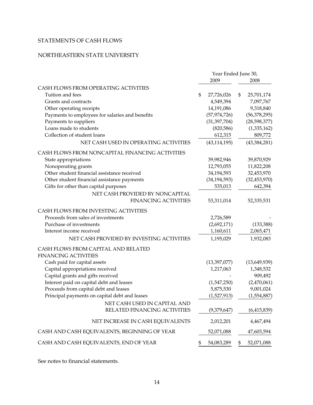# STATEMENTS OF CASH FLOWS

# NORTHEASTERN STATE UNIVERSITY

|                                                 | Year Ended June 30, |                  |
|-------------------------------------------------|---------------------|------------------|
|                                                 | 2009                | 2008             |
| CASH FLOWS FROM OPERATING ACTIVITIES            |                     |                  |
| Tuition and fees                                | \$<br>27,726,026    | \$<br>25,701,174 |
| Grants and contracts                            | 4,549,394           | 7,097,767        |
| Other operating receipts                        | 14,191,086          | 9,318,840        |
| Payments to employees for salaries and benefits | (57, 974, 726)      | (56, 378, 295)   |
| Payments to suppliers                           | (31, 397, 704)      | (28, 598, 377)   |
| Loans made to students                          | (820, 586)          | (1,335,162)      |
| Collection of student loans                     | 612,315             | 809,772          |
| NET CASH USED IN OPERATING ACTIVITIES           | (43, 114, 195)      | (43, 384, 281)   |
| CASH FLOWS FROM NONCAPITAL FINANCING ACTIVITIES |                     |                  |
| State appropriations                            | 39,982,946          | 39,870,929       |
| Nonoperating grants                             | 12,793,055          | 11,822,208       |
| Other student financial assistance received     | 34,194,593          | 32,453,970       |
| Other student financial assistance payments     | (34, 194, 593)      | (32, 453, 970)   |
| Gifts for other than capital purposes           | 535,013             | 642,394          |
| NET CASH PROVIDED BY NONCAPITAL                 |                     |                  |
| <b>FINANCING ACTIVITIES</b>                     | 53,311,014          | 52,335,531       |
| CASH FLOWS FROM INVESTING ACTIVITIES            |                     |                  |
| Proceeds from sales of investments              | 2,726,589           |                  |
| Purchase of investments                         | (2,692,171)         | (133, 388)       |
| Interest income received                        | 1,160,611           | 2,065,471        |
| NET CASH PROVIDED BY INVESTING ACTIVITIES       | 1,195,029           | 1,932,083        |
| CASH FLOWS FROM CAPITAL AND RELATED             |                     |                  |
| <b>FINANCING ACTIVITIES</b>                     |                     |                  |
| Cash paid for capital assets                    | (13,397,077)        | (13,649,939)     |
| Capital appropriations received                 | 1,217,063           | 1,348,532        |
| Capital grants and gifts received               |                     | 909,492          |
| Interest paid on capital debt and leases        | (1,547,250)         | (2,470,061)      |
| Proceeds from capital debt and leases           | 5,875,530           | 9,001,024        |
| Principal payments on capital debt and leases   | (1,527,913)         | (1,554,887)      |
| NET CASH USED IN CAPITAL AND                    |                     |                  |
| RELATED FINANCING ACTIVITIES                    | (9,379,647)         | (6,415,839)      |
| NET INCREASE IN CASH EQUIVALENTS                | 2,012,201           | 4,467,494        |
| CASH AND CASH EQUIVALENTS, BEGINNING OF YEAR    | 52,071,088          | 47,603,594       |
| CASH AND CASH EQUIVALENTS, END OF YEAR          | \$<br>54,083,289    | \$<br>52,071,088 |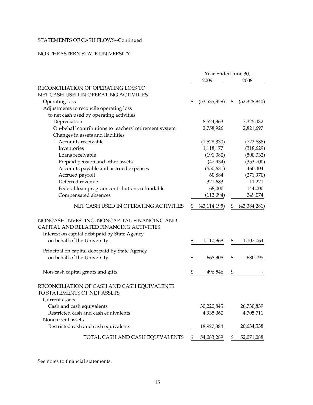# STATEMENTS OF CASH FLOWS--Continued

#### NORTHEASTERN STATE UNIVERSITY

|                                                                                                                                                                         | Year Ended June 30, |                |    |                |  |
|-------------------------------------------------------------------------------------------------------------------------------------------------------------------------|---------------------|----------------|----|----------------|--|
|                                                                                                                                                                         |                     | 2009           |    | 2008           |  |
| RECONCILIATION OF OPERATING LOSS TO                                                                                                                                     |                     |                |    |                |  |
| NET CASH USED IN OPERATING ACTIVITIES                                                                                                                                   |                     |                |    |                |  |
| Operating loss                                                                                                                                                          | \$                  | (53, 535, 859) | \$ | (52, 328, 840) |  |
| Adjustments to reconcile operating loss                                                                                                                                 |                     |                |    |                |  |
| to net cash used by operating activities                                                                                                                                |                     |                |    |                |  |
| Depreciation                                                                                                                                                            |                     | 8,524,363      |    | 7,325,482      |  |
| On-behalf contributions to teachers' retirement system                                                                                                                  |                     | 2,758,926      |    | 2,821,697      |  |
| Changes in assets and liabilities                                                                                                                                       |                     |                |    |                |  |
| Accounts receivable                                                                                                                                                     |                     | (1,528,330)    |    | (722, 688)     |  |
| Inventories                                                                                                                                                             |                     | 1,118,177      |    | (318,629)      |  |
| Loans receivable                                                                                                                                                        |                     | (191,380)      |    | (500, 332)     |  |
| Prepaid pension and other assets                                                                                                                                        |                     | (47, 934)      |    | (353,700)      |  |
| Accounts payable and accrued expenses                                                                                                                                   |                     | (550, 631)     |    | 460,404        |  |
| Accrued payroll                                                                                                                                                         |                     | 60,884         |    | (271,970)      |  |
| Deferred revenue                                                                                                                                                        |                     | 321,683        |    | 11,221         |  |
| Federal loan program contributions refundable                                                                                                                           |                     | 68,000         |    | 144,000        |  |
| Compensated absences                                                                                                                                                    |                     | (112,094)      |    | 349,074        |  |
| NET CASH USED IN OPERATING ACTIVITIES                                                                                                                                   | \$                  | (43, 114, 195) | \$ | (43,384,281)   |  |
| NONCASH INVESTING, NONCAPITAL FINANCING AND<br>CAPITAL AND RELATED FINANCING ACTIVITIES<br>Interest on capital debt paid by State Agency<br>on behalf of the University | \$                  | 1,110,968      | \$ | 1,107,064      |  |
| Principal on capital debt paid by State Agency                                                                                                                          |                     |                |    |                |  |
| on behalf of the University                                                                                                                                             | \$                  | 668,308        | \$ | 680,195        |  |
| Non-cash capital grants and gifts                                                                                                                                       | \$                  | 496,546        | \$ |                |  |
| RECONCILIATION OF CASH AND CASH EQUIVALENTS<br>TO STATEMENTS OF NET ASSETS<br>Current assets                                                                            |                     |                |    |                |  |
| Cash and cash equivalents                                                                                                                                               |                     | 30,220,845     |    | 26,730,839     |  |
| Restricted cash and cash equivalents                                                                                                                                    |                     | 4,935,060      |    | 4,705,711      |  |
| Noncurrent assets                                                                                                                                                       |                     |                |    |                |  |
| Restricted cash and cash equivalents                                                                                                                                    |                     | 18,927,384     |    | 20,634,538     |  |
| TOTAL CASH AND CASH EQUIVALENTS                                                                                                                                         | \$                  | 54,083,289     | \$ | 52,071,088     |  |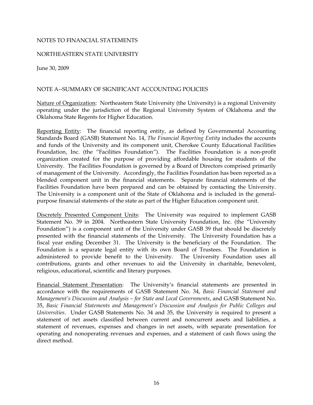#### NOTES TO FINANCIAL STATEMENTS

#### NORTHEASTERN STATE UNIVERSITY

June 30, 2009

#### NOTE A--SUMMARY OF SIGNIFICANT ACCOUNTING POLICIES

Nature of Organization: Northeastern State University (the University) is a regional University operating under the jurisdiction of the Regional University System of Oklahoma and the Oklahoma State Regents for Higher Education.

Facilities Foundation have been prepared and can be obtained by contacting the University. Reporting Entity: The financial reporting entity, as defined by Governmental Accounting Standards Board (GASB) Statement No. 14, *The Financial Reporting Entity* includes the accounts and funds of the University and its component unit, Cherokee County Educational Facilities Foundation, Inc. (the "Facilities Foundation"). The Facilities Foundation is a non-profit organization created for the purpose of providing affordable housing for students of the University. The Facilities Foundation is governed by a Board of Directors comprised primarily of management of the University. Accordingly, the Facilities Foundation has been reported as a blended component unit in the financial statements. Separate financial statements of the The University is a component unit of the State of Oklahoma and is included in the generalpurpose financial statements of the state as part of the Higher Education component unit.

Discretely Presented Component Units: The University was required to implement GASB Statement No. 39 in 2004. Northeastern State University Foundation, Inc. (the "University Foundation") is a component unit of the University under GASB 39 that should be discretely presented with the financial statements of the University. The University Foundation has a fiscal year ending December 31. The University is the beneficiary of the Foundation. The Foundation is a separate legal entity with its own Board of Trustees. The Foundation is administered to provide benefit to the University. The University Foundation uses all contributions, grants and other revenues to aid the University in charitable, benevolent, religious, educational, scientific and literary purposes.

Financial Statement Presentation: The University's financial statements are presented in accordance with the requirements of GASB Statement No. 34, *Basic Financial Statement and Management's Discussion and Analysis – for State and Local Governments*, and GASB Statement No. 35, *Basic Financial Statements and Management's Discussion and Analysis for Public Colleges and Universities*. Under GASB Statements No. 34 and 35, the University is required to present a statement of net assets classified between current and noncurrent assets and liabilities, a statement of revenues, expenses and changes in net assets, with separate presentation for operating and nonoperating revenues and expenses, and a statement of cash flows using the direct method.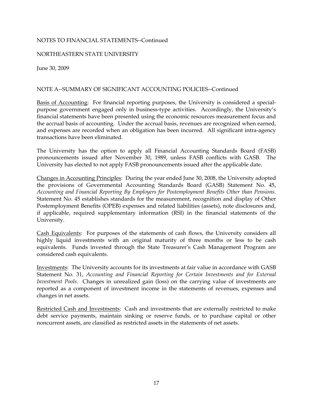## NORTHEASTERN STATE UNIVERSITY

June 30, 2009

## NOTE A--SUMMARY OF SIGNIFICANT ACCOUNTING POLICIES--Continued

Basis of Accounting: For financial reporting purposes, the University is considered a specialpurpose government engaged only in business-type activities. Accordingly, the University's financial statements have been presented using the economic resources measurement focus and the accrual basis of accounting. Under the accrual basis, revenues are recognized when earned, and expenses are recorded when an obligation has been incurred. All significant intra-agency transactions have been eliminated.

The University has the option to apply all Financial Accounting Standards Board (FASB) pronouncements issued after November 30, 1989, unless FASB conflicts with GASB. The University has elected to not apply FASB pronouncements issued after the applicable date.

Changes in Accounting Principles: During the year ended June 30, 2008, the University adopted the provisions of Governmental Accounting Standards Board (GASB) Statement No. 45, *Accounting and Financial Reporting By Employers for Postemployment Benefits Other than Pensions*. Statement No. 45 establishes standards for the measurement, recognition and display of Other Postemployment Benefits (OPEB) expenses and related liabilities (assets), note disclosures and, if applicable, required supplementary information (RSI) in the financial statements of the University.

Cash Equivalents: For purposes of the statements of cash flows, the University considers all highly liquid investments with an original maturity of three months or less to be cash equivalents. Funds invested through the State Treasurer's Cash Management Program are considered cash equivalents.

Investments: The University accounts for its investments at fair value in accordance with GASB Statement No. 31, *Accounting and Financial Reporting for Certain Investments and for External Investment Pools*. Changes in unrealized gain (loss) on the carrying value of investments are reported as a component of investment income in the statements of revenues, expenses and changes in net assets.

Restricted Cash and Investments: Cash and investments that are externally restricted to make debt service payments, maintain sinking or reserve funds, or to purchase capital or other noncurrent assets, are classified as restricted assets in the statements of net assets.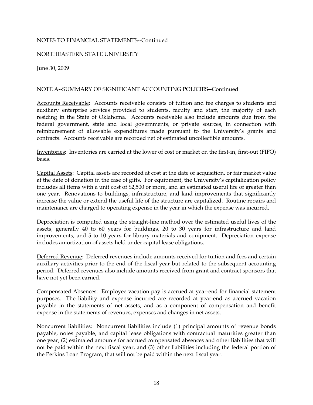## NORTHEASTERN STATE UNIVERSITY

June 30, 2009

#### NOTE A--SUMMARY OF SIGNIFICANT ACCOUNTING POLICIES--Continued

Accounts Receivable: Accounts receivable consists of tuition and fee charges to students and auxiliary enterprise services provided to students, faculty and staff, the majority of each residing in the State of Oklahoma. Accounts receivable also include amounts due from the federal government, state and local governments, or private sources, in connection with reimbursement of allowable expenditures made pursuant to the University's grants and contracts. Accounts receivable are recorded net of estimated uncollectible amounts.

Inventories: Inventories are carried at the lower of cost or market on the first-in, first-out (FIFO) basis.

 at the date of donation in the case of gifts. For equipment, the University's capitalization policy Capital Assets: Capital assets are recorded at cost at the date of acquisition, or fair market value includes all items with a unit cost of \$2,500 or more, and an estimated useful life of greater than one year. Renovations to buildings, infrastructure, and land improvements that significantly increase the value or extend the useful life of the structure are capitalized. Routine repairs and maintenance are charged to operating expense in the year in which the expense was incurred.

Depreciation is computed using the straight-line method over the estimated useful lives of the assets, generally 40 to 60 years for buildings, 20 to 30 years for infrastructure and land improvements, and 5 to 10 years for library materials and equipment. Depreciation expense includes amortization of assets held under capital lease obligations.

Deferred Revenue: Deferred revenues include amounts received for tuition and fees and certain auxiliary activities prior to the end of the fiscal year but related to the subsequent accounting period. Deferred revenues also include amounts received from grant and contract sponsors that have not yet been earned.

Compensated Absences: Employee vacation pay is accrued at year-end for financial statement purposes. The liability and expense incurred are recorded at year-end as accrued vacation payable in the statements of net assets, and as a component of compensation and benefit expense in the statements of revenues, expenses and changes in net assets.

Noncurrent liabilities: Noncurrent liabilities include (1) principal amounts of revenue bonds payable, notes payable, and capital lease obligations with contractual maturities greater than one year, (2) estimated amounts for accrued compensated absences and other liabilities that will not be paid within the next fiscal year, and (3) other liabilities including the federal portion of the Perkins Loan Program, that will not be paid within the next fiscal year.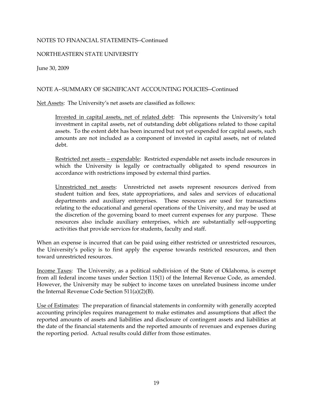## NORTHEASTERN STATE UNIVERSITY

June 30, 2009

## NOTE A--SUMMARY OF SIGNIFICANT ACCOUNTING POLICIES--Continued

Net Assets: The University's net assets are classified as follows:

Invested in capital assets, net of related debt: This represents the University's total investment in capital assets, net of outstanding debt obligations related to those capital assets. To the extent debt has been incurred but not yet expended for capital assets, such amounts are not included as a component of invested in capital assets, net of related debt.

Restricted net assets – expendable: Restricted expendable net assets include resources in which the University is legally or contractually obligated to spend resources in accordance with restrictions imposed by external third parties.

Unrestricted net assets: Unrestricted net assets represent resources derived from student tuition and fees, state appropriations, and sales and services of educational departments and auxiliary enterprises. These resources are used for transactions relating to the educational and general operations of the University, and may be used at the discretion of the governing board to meet current expenses for any purpose. These resources also include auxiliary enterprises, which are substantially self-supporting activities that provide services for students, faculty and staff.

When an expense is incurred that can be paid using either restricted or unrestricted resources, the University's policy is to first apply the expense towards restricted resources, and then toward unrestricted resources.

 from all federal income taxes under Section 115(1) of the Internal Revenue Code, as amended. Income Taxes: The University, as a political subdivision of the State of Oklahoma, is exempt However, the University may be subject to income taxes on unrelated business income under the Internal Revenue Code Section 511(a)(2)(B).

Use of Estimates: The preparation of financial statements in conformity with generally accepted accounting principles requires management to make estimates and assumptions that affect the reported amounts of assets and liabilities and disclosure of contingent assets and liabilities at the date of the financial statements and the reported amounts of revenues and expenses during the reporting period. Actual results could differ from those estimates.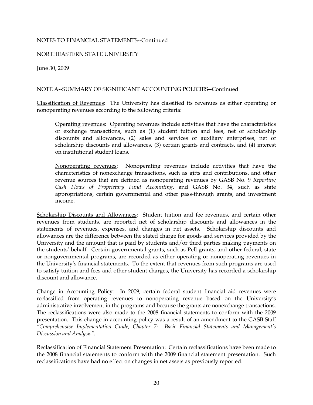## NORTHEASTERN STATE UNIVERSITY

June 30, 2009

## NOTE A--SUMMARY OF SIGNIFICANT ACCOUNTING POLICIES--Continued

Classification of Revenues: The University has classified its revenues as either operating or nonoperating revenues according to the following criteria:

Operating revenues: Operating revenues include activities that have the characteristics of exchange transactions, such as (1) student tuition and fees, net of scholarship discounts and allowances, (2) sales and services of auxiliary enterprises, net of scholarship discounts and allowances, (3) certain grants and contracts, and (4) interest on institutional student loans.

Nonoperating revenues: Nonoperating revenues include activities that have the characteristics of nonexchange transactions, such as gifts and contributions, and other revenue sources that are defined as nonoperating revenues by GASB No. 9 *Reporting Cash Flows of Proprietary Fund Accounting*, and GASB No. 34, such as state appropriations, certain governmental and other pass-through grants, and investment income.

Scholarship Discounts and Allowances: Student tuition and fee revenues, and certain other revenues from students, are reported net of scholarship discounts and allowances in the statements of revenues, expenses, and changes in net assets. Scholarship discounts and allowances are the difference between the stated charge for goods and services provided by the University and the amount that is paid by students and/or third parties making payments on the students' behalf. Certain governmental grants, such as Pell grants, and other federal, state or nongovernmental programs, are recorded as either operating or nonoperating revenues in the University's financial statements. To the extent that revenues from such programs are used to satisfy tuition and fees and other student charges, the University has recorded a scholarship discount and allowance.

 reclassified from operating revenues to nonoperating revenue based on the University's administrative involvement in the programs and because the grants are nonexchange transactions. Change in Accounting Policy: In 2009, certain federal student financial aid revenues were The reclassifications were also made to the 2008 financial statements to conform with the 2009 presentation. This change in accounting policy was a result of an amendment to the GASB Staff *"Comprehensive Implementation Guide, Chapter 7: Basic Financial Statements and Management's Discussion and Analysis".* 

Reclassification of Financial Statement Presentation: Certain reclassifications have been made to the 2008 financial statements to conform with the 2009 financial statement presentation. Such reclassifications have had no effect on changes in net assets as previously reported.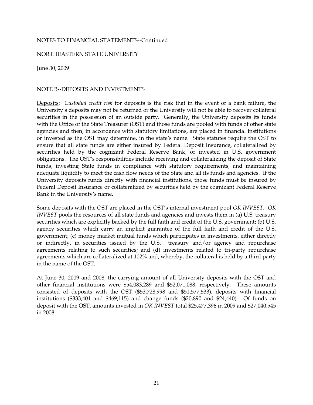#### NORTHEASTERN STATE UNIVERSITY

June 30, 2009

#### NOTE B--DEPOSITS AND INVESTMENTS

Deposits: *Custodial credit risk* for deposits is the risk that in the event of a bank failure, the University's deposits may not be returned or the University will not be able to recover collateral securities in the possession of an outside party. Generally, the University deposits its funds with the Office of the State Treasurer (OST) and those funds are pooled with funds of other state agencies and then, in accordance with statutory limitations, are placed in financial institutions or invested as the OST may determine, in the state's name. State statutes require the OST to ensure that all state funds are either insured by Federal Deposit Insurance, collateralized by securities held by the cognizant Federal Reserve Bank, or invested in U.S. government obligations. The OST's responsibilities include receiving and collateralizing the deposit of State funds, investing State funds in compliance with statutory requirements, and maintaining adequate liquidity to meet the cash flow needs of the State and all its funds and agencies. If the University deposits funds directly with financial institutions, those funds must be insured by Federal Deposit Insurance or collateralized by securities held by the cognizant Federal Reserve Bank in the University's name.

Some deposits with the OST are placed in the OST's internal investment pool *OK INVEST*. *OK INVEST* pools the resources of all state funds and agencies and invests them in (a) U.S. treasury securities which are explicitly backed by the full faith and credit of the U.S. government; (b) U.S. agency securities which carry an implicit guarantee of the full faith and credit of the U.S. government; (c) money market mutual funds which participates in investments, either directly or indirectly, in securities issued by the U.S. treasury and/or agency and repurchase agreements relating to such securities; and (d) investments related to tri-party repurchase agreements which are collateralized at 102% and, whereby, the collateral is held by a third party in the name of the OST.

At June 30, 2009 and 2008, the carrying amount of all University deposits with the OST and other financial institutions were \$54,083,289 and \$52,071,088, respectively. These amounts consisted of deposits with the OST (\$53,728,998 and \$51,577,533), deposits with financial institutions (\$333,401 and \$469,115) and change funds (\$20,890 and \$24,440). Of funds on deposit with the OST, amounts invested in *OK INVEST* total \$25,477,396 in 2009 and \$27,040,545 in 2008.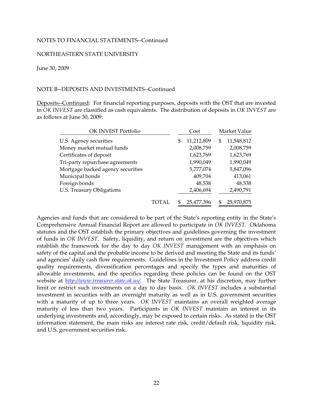#### NORTHEASTERN STATE UNIVERSITY

June 30, 2009

#### NOTE B--DEPOSITS AND INVESTMENTS--Continued

Deposits--Continued: For financial reporting purposes, deposits with the OST that are invested in *OK INVEST* are classified as cash equivalents. The distribution of deposits in *OK INVEST* are as follows at June 30, 2009:

| OK INVEST Portfolio               |    | Cost       | Market Value     |
|-----------------------------------|----|------------|------------------|
| U.S. Agency securities            | \$ | 11,212,809 | \$<br>11,548,812 |
| Money market mutual funds         |    | 2,008,759  | 2,008,759        |
| Certificates of deposit           |    | 1,623,769  | 1,623,769        |
| Tri-party repurchase agreements   |    | 1,990,049  | 1,990,049        |
| Mortgage backed agency securities |    | 5,777,074  | 5,847,096        |
| Municipal bonds                   |    | 409,704    | 413,061          |
| Foreign bonds                     |    | 48,538     | 48,538           |
| U.S. Treasury Obligations         |    | 2,406,694  | 2,490,791        |
|                                   |    | 25,477,396 | 25,970,875       |

Agencies and funds that are considered to be part of the State's reporting entity in the State's Comprehensive Annual Financial Report are allowed to participate in *OK INVEST*. Oklahoma statutes and the OST establish the primary objectives and guidelines governing the investment of funds in *OK INVEST*. Safety, liquidity, and return on investment are the objectives which establish the framework for the day to day *OK INVEST* management with an emphasis on safety of the capital and the probable income to be derived and meeting the State and its funds' and agencies' daily cash flow requirements. Guidelines in the Investment Policy address credit quality requirements, diversification percentages and specify the types and maturities of allowable investments, and the specifics regarding these policies can be found on the OST website at *http://www.treasurer.state.ok.us/*. The State Treasurer, at his discretion, may further limit or restrict such investments on a day to day basis. *OK INVEST* includes a substantial investment in securities with an overnight maturity as well as in U.S. government securities with a maturity of up to three years. *OK INVEST* maintains an overall weighted average maturity of less than two years. Participants in *OK INVEST* maintain an interest in its underlying investments and, accordingly, may be exposed to certain risks. As stated in the OST information statement, the main risks are interest rate risk, credit/default risk, liquidity risk, and U.S. government securities risk.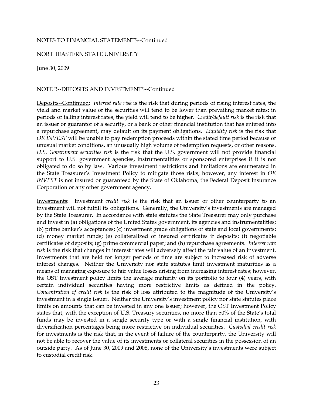#### NORTHEASTERN STATE UNIVERSITY

June 30, 2009

## NOTE B--DEPOSITS AND INVESTMENTS--Continued

Deposits--Continued: *Interest rate risk* is the risk that during periods of rising interest rates, the yield and market value of the securities will tend to be lower than prevailing market rates; in periods of falling interest rates, the yield will tend to be higher. *Credit/default risk* is the risk that an issuer or guarantor of a security, or a bank or other financial institution that has entered into a repurchase agreement, may default on its payment obligations. *Liquidity risk* is the risk that *OK INVEST* will be unable to pay redemption proceeds within the stated time period because of unusual market conditions, an unusually high volume of redemption requests, or other reasons. *U.S. Government securities risk* is the risk that the U.S. government will not provide financial support to U.S. government agencies, instrumentalities or sponsored enterprises if it is not obligated to do so by law. Various investment restrictions and limitations are enumerated in the State Treasurer's Investment Policy to mitigate those risks; however, any interest in *OK INVEST* is not insured or guaranteed by the State of Oklahoma, the Federal Deposit Insurance Corporation or any other government agency.

 certificates of deposits; (g) prime commercial paper; and (h) repurchase agreements. *Interest rate*  certain individual securities having more restrictive limits as defined in the policy. Investments: Investment *credit risk* is the risk that an issuer or other counterparty to an investment will not fulfill its obligations. Generally, the University's investments are managed by the State Treasurer. In accordance with state statutes the State Treasurer may only purchase and invest in (a) obligations of the United States government, its agencies and instrumentalities; (b) prime banker's acceptances; (c) investment grade obligations of state and local governments; (d) money market funds; (e) collateralized or insured certificates if deposits; (f) negotiable *risk* is the risk that changes in interest rates will adversely affect the fair value of an investment. Investments that are held for longer periods of time are subject to increased risk of adverse interest changes. Neither the University nor state statutes limit investment maturities as a means of managing exposure to fair value losses arising from increasing interest rates; however, the OST Investment policy limits the average maturity on its portfolio to four (4) years, with *Concentration of credit risk* is the risk of loss attributed to the magnitude of the University's investment in a single issuer. Neither the University's investment policy nor state statutes place limits on amounts that can be invested in any one issuer; however, the OST Investment Policy states that, with the exception of U.S. Treasury securities, no more than 50% of the State's total funds may be invested in a single security type or with a single financial institution, with diversification percentages being more restrictive on individual securities. *Custodial credit risk*  for investments is the risk that, in the event of failure of the counterparty, the University will not be able to recover the value of its investments or collateral securities in the possession of an outside party. As of June 30, 2009 and 2008, none of the University's investments were subject to custodial credit risk.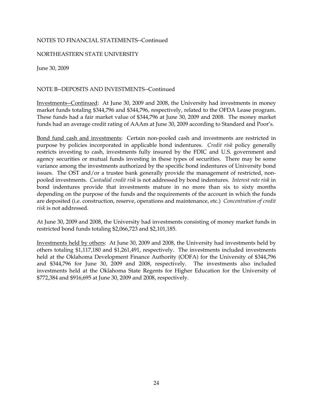## NORTHEASTERN STATE UNIVERSITY

June 30, 2009

## NOTE B--DEPOSITS AND INVESTMENTS--Continued

Investments--Continued: At June 30, 2009 and 2008, the University had investments in money market funds totaling \$344,796 and \$344,796, respectively, related to the OFDA Lease program. These funds had a fair market value of \$344,796 at June 30, 2009 and 2008. The money market funds had an average credit rating of AAAm at June 30, 2009 according to Standard and Poor's.

Bond fund cash and investments: Certain non-pooled cash and investments are restricted in purpose by policies incorporated in applicable bond indentures. *Credit risk* policy generally restricts investing to cash, investments fully insured by the FDIC and U.S. government and agency securities or mutual funds investing in these types of securities. There may be some variance among the investments authorized by the specific bond indentures of University bond issues. The OST and/or a trustee bank generally provide the management of restricted, nonpooled investments. *Custodial credit risk* is not addressed by bond indentures. *Interest rate risk* in bond indentures provide that investments mature in no more than six to sixty months depending on the purpose of the funds and the requirements of the account in which the funds are deposited (i.e. construction, reserve, operations and maintenance, etc.) *Concentration of credit risk* is not addressed.

At June 30, 2009 and 2008, the University had investments consisting of money market funds in restricted bond funds totaling \$2,066,723 and \$2,101,185.

Investments held by others: At June 30, 2009 and 2008, the University had investments held by others totaling \$1,117,180 and \$1,261,491, respectively. The investments included investments held at the Oklahoma Development Finance Authority (ODFA) for the University of \$344,796 and \$344,796 for June 30, 2009 and 2008, respectively. The investments also included investments held at the Oklahoma State Regents for Higher Education for the University of \$772,384 and \$916,695 at June 30, 2009 and 2008, respectively.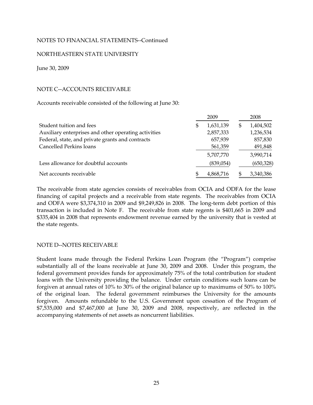#### NORTHEASTERN STATE UNIVERSITY

June 30, 2009

## NOTE C--ACCOUNTS RECEIVABLE

Accounts receivable consisted of the following at June 30:

|                                                      | 2009            | 2008            |
|------------------------------------------------------|-----------------|-----------------|
| Student tuition and fees                             | \$<br>1,631,139 | \$<br>1,404,502 |
| Auxiliary enterprises and other operating activities | 2,857,333       | 1,236,534       |
| Federal, state, and private grants and contracts     | 657,939         | 857,830         |
| Cancelled Perkins loans                              | 561,359         | 491,848         |
|                                                      | 5,707,770       | 3,990,714       |
| Less allowance for doubtful accounts                 | (839,054)       | (650, 328)      |
| Net accounts receivable                              | 4,868,716       | 3,340,386       |

The receivable from state agencies consists of receivables from OCIA and ODFA for the lease financing of capital projects and a receivable from state regents. The receivables from OCIA and ODFA were \$3,374,310 in 2009 and \$9,249,826 in 2008. The long-term debt portion of this transaction is included in Note F. The receivable from state regents is \$401,665 in 2009 and \$335,404 in 2008 that represents endowment revenue earned by the university that is vested at the state regents.

## NOTE D--NOTES RECEIVABLE

Student loans made through the Federal Perkins Loan Program (the "Program") comprise substantially all of the loans receivable at June 30, 2009 and 2008. Under this program, the federal government provides funds for approximately 75% of the total contribution for student loans with the University providing the balance. Under certain conditions such loans can be forgiven at annual rates of 10% to 30% of the original balance up to maximums of 50% to 100% of the original loan. The federal government reimburses the University for the amounts forgiven. Amounts refundable to the U.S. Government upon cessation of the Program of \$7,535,000 and \$7,467,000 at June 30, 2009 and 2008, respectively, are reflected in the accompanying statements of net assets as noncurrent liabilities.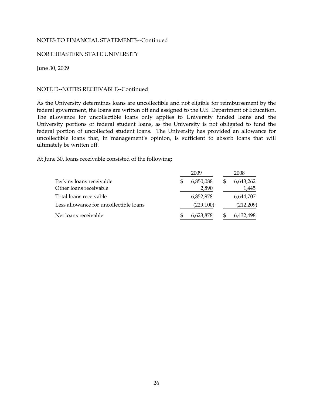#### NORTHEASTERN STATE UNIVERSITY

June 30, 2009

#### NOTE D--NOTES RECEIVABLE--Continued

federal government, the loans are written off and assigned to the U.S. Department of Education. As the University determines loans are uncollectible and not eligible for reimbursement by the The allowance for uncollectible loans only applies to University funded loans and the University portions of federal student loans, as the University is not obligated to fund the federal portion of uncollected student loans. The University has provided an allowance for uncollectible loans that, in management's opinion, is sufficient to absorb loans that will ultimately be written off.

At June 30, loans receivable consisted of the following:

|                                        | 2009      | 2008      |
|----------------------------------------|-----------|-----------|
| Perkins loans receivable               | 6,850,088 | 6,643,262 |
| Other loans receivable                 | 2,890     | 1,445     |
| Total loans receivable                 | 6,852,978 | 6,644,707 |
| Less allowance for uncollectible loans | (229,100) | (212,209) |
| Net loans receivable                   | 6,623,878 | 6,432,498 |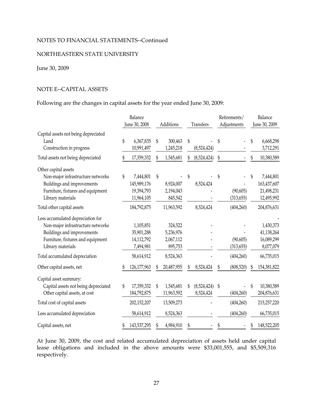#### NORTHEASTERN STATE UNIVERSITY

## June 30, 2009

#### NOTE E--CAPITAL ASSETS

Following are the changes in capital assets for the year ended June 30, 2009:

|                                                                                                                                                                |               | Balance                                                    |                                              |    |                          |    | Retirements/            |    | Balance                                              |  |  |
|----------------------------------------------------------------------------------------------------------------------------------------------------------------|---------------|------------------------------------------------------------|----------------------------------------------|----|--------------------------|----|-------------------------|----|------------------------------------------------------|--|--|
|                                                                                                                                                                | June 30, 2008 |                                                            | Additions                                    |    | Transfers                |    | Adjustments             |    | June 30, 2009                                        |  |  |
| Capital assets not being depreciated<br>Land<br>Construction in progress                                                                                       | \$            | 6,367,835<br>\$<br>10,991,497                              | 300,463<br>1,245,218                         | \$ | (8,524,424)              | \$ |                         | \$ | 6,668,298<br>3,712,291                               |  |  |
| Total assets not being depreciated                                                                                                                             |               | 17,359,332                                                 | 1,545,681                                    |    | (8,524,424)              | \$ |                         | \$ | 10,380,589                                           |  |  |
| Other capital assets<br>Non-major infrastructure networks<br>Buildings and improvements<br>Furniture, fixtures and equipment<br>Library materials              | \$            | 7,444,801<br>\$<br>145,989,176<br>19,394,793<br>11,964,105 | 8,924,007<br>2,194,043<br>845,542            |    | 8,524,424                | \$ | (90, 605)<br>(313, 655) | \$ | 7,444,801<br>163,437,607<br>21,498,231<br>12,495,992 |  |  |
| Total other capital assets                                                                                                                                     |               | 184,792,875                                                | 11,963,592                                   |    | 8,524,424                |    | (404, 260)              |    | 204,876,631                                          |  |  |
| Less accumulated depreciation for<br>Non-major infrastructure networks<br>Buildings and improvements<br>Furniture, fixtures and equipment<br>Library materials |               | 1,105,851<br>35,901,288<br>14,112,792<br>7,494,981         | 324,522<br>5,236,976<br>2,067,112<br>895,753 |    |                          |    | (90, 605)<br>(313, 655) |    | 1,430,373<br>41,138,264<br>16,089,299<br>8,077,079   |  |  |
| Total accumulated depreciation                                                                                                                                 |               | 58,614,912                                                 | 8,524,363                                    |    |                          |    | (404, 260)              |    | 66,735,015                                           |  |  |
| Other capital assets, net                                                                                                                                      | \$            | 126,177,963                                                | 20,487,955                                   | \$ | 8,524,424                | \$ | (808, 520)              | S  | 154,381,822                                          |  |  |
| Capital asset summary:<br>Capital assets not being depreciated<br>Other capital assets, at cost                                                                | \$            | 17,359,332<br>\$<br>184,792,875                            | 1,545,681<br>11,963,592                      | \$ | (8,524,424)<br>8,524,424 | \$ | (404, 260)              | \$ | 10,380,589<br>204,876,631                            |  |  |
| Total cost of capital assets                                                                                                                                   |               | 202,152,207                                                | 13,509,273                                   |    |                          |    | (404, 260)              |    | 215,257,220                                          |  |  |
| Less accumulated depreciation                                                                                                                                  |               | 58,614,912                                                 | 8,524,363                                    |    |                          |    | (404, 260)              |    | 66,735,015                                           |  |  |
| Capital assets, net                                                                                                                                            | \$            | 143,537,295<br>\$                                          | 4,984,910                                    | \$ |                          | \$ |                         | \$ | 148,522,205                                          |  |  |

At June 30, 2009, the cost and related accumulated depreciation of assets held under capital lease obligations and included in the above amounts were \$33,001,555, and \$5,509,316 respectively.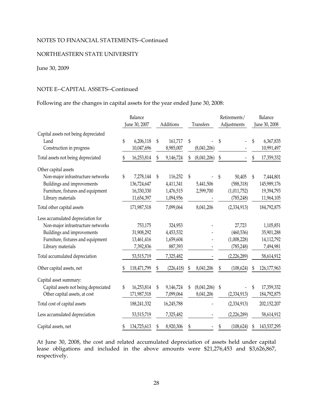## NORTHEASTERN STATE UNIVERSITY

## June 30, 2009

## NOTE E--CAPITAL ASSETS--Continued

#### Following are the changes in capital assets for the year ended June 30, 2008:

|                                                                                                                                                                |                            | Balance                                              |           |                                                |             |                          | Retirements/ |                                                   | Balance |                                                      |  |
|----------------------------------------------------------------------------------------------------------------------------------------------------------------|----------------------------|------------------------------------------------------|-----------|------------------------------------------------|-------------|--------------------------|--------------|---------------------------------------------------|---------|------------------------------------------------------|--|
|                                                                                                                                                                | June 30, 2007<br>Additions |                                                      | Transfers |                                                | Adjustments | June 30, 2008            |              |                                                   |         |                                                      |  |
| Capital assets not being depreciated<br>Land<br>Construction in progress                                                                                       | \$                         | 6,206,118<br>10,047,696                              | \$        | 161,717<br>8,985,007                           | \$          | (8,041,206)              | \$           |                                                   | \$      | 6,367,835<br>10,991,497                              |  |
| Total assets not being depreciated                                                                                                                             | \$                         | 16,253,814                                           | \$        | 9,146,724                                      | \$          | (8,041,206)              | \$           |                                                   | \$      | 17,359,332                                           |  |
| Other capital assets<br>Non-major infrastructure networks<br>Buildings and improvements<br>Furniture, fixtures and equipment<br>Library materials              | \$                         | 7,278,144<br>136,724,647<br>16,330,330<br>11,654,397 | \$        | 116,252<br>4,411,341<br>1,476,515<br>1,094,956 | \$          | 5,441,506<br>2,599,700   | \$           | 50,405<br>(588, 318)<br>(1,011,752)<br>(785, 248) | \$      | 7,444,801<br>145,989,176<br>19,394,793<br>11,964,105 |  |
| Total other capital assets                                                                                                                                     |                            | 171,987,518                                          |           | 7,099,064                                      |             | 8,041,206                |              | (2,334,913)                                       |         | 184,792,875                                          |  |
| Less accumulated depreciation for<br>Non-major infrastructure networks<br>Buildings and improvements<br>Furniture, fixtures and equipment<br>Library materials |                            | 753,175<br>31,908,292<br>13,461,416<br>7,392,836     |           | 324,953<br>4,453,532<br>1,659,604<br>887,393   |             |                          |              | 27,723<br>(460, 536)<br>(1,008,228)<br>(785, 248) |         | 1,105,851<br>35,901,288<br>14,112,792<br>7,494,981   |  |
| Total accumulated depreciation                                                                                                                                 |                            | 53,515,719                                           |           | 7,325,482                                      |             |                          |              | (2,226,289)                                       |         | 58,614,912                                           |  |
| Other capital assets, net                                                                                                                                      | S                          | 118,471,799                                          |           | (226, 418)                                     | S           | 8,041,206                | \$           | (108, 624)                                        | S       | 126,177,963                                          |  |
| Capital asset summary:<br>Capital assets not being depreciated<br>Other capital assets, at cost                                                                | \$                         | 16,253,814<br>171,987,518                            | \$        | 9,146,724<br>7,099,064                         | \$          | (8,041,206)<br>8,041,206 | \$           | (2,334,913)                                       | \$      | 17,359,332<br>184,792,875                            |  |
| Total cost of capital assets                                                                                                                                   |                            | 188,241,332                                          |           | 16,245,788                                     |             |                          |              | (2,334,913)                                       |         | 202,152,207                                          |  |
| Less accumulated depreciation                                                                                                                                  |                            | 53,515,719                                           |           | 7,325,482                                      |             |                          |              | (2,226,289)                                       |         | 58,614,912                                           |  |
| Capital assets, net                                                                                                                                            | \$                         | 134,725,613                                          | \$        | 8,920,306                                      | \$          |                          | \$           | (108, 624)                                        | \$      | 143,537,295                                          |  |

At June 30, 2008, the cost and related accumulated depreciation of assets held under capital lease obligations and included in the above amounts were \$21,276,453 and \$3,626,867, respectively.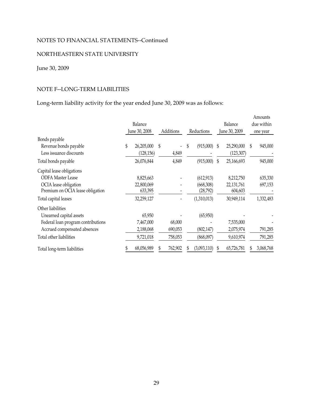## NORTHEASTERN STATE UNIVERSITY

# June 30, 2009

# NOTE F--LONG-TERM LIABILITIES

Long-term liability activity for the year ended June 30, 2009 was as follows:

|                                                           | Balance<br>June 30, 2008 |   | Additions | Reductions             |   | Balance<br>June 30, 2009 | Amounts<br>due within<br>one year |
|-----------------------------------------------------------|--------------------------|---|-----------|------------------------|---|--------------------------|-----------------------------------|
| Bonds payable                                             |                          |   |           |                        |   |                          |                                   |
| Revenue bonds payable                                     | \$<br>26,205,000         | S |           | \$<br>(915,000)        | S | 25,290,000               | \$<br>945,000                     |
| Less issuance discounts                                   | (128, 156)               |   | 4,849     |                        |   | (123, 307)               |                                   |
| Total bonds payable                                       | 26,076,844               |   | 4,849     | (915,000)              | S | 25,166,693               | 945,000                           |
| Capital lease obligations                                 |                          |   |           |                        |   |                          |                                   |
| <b>ODFA Master Lease</b>                                  | 8,825,663                |   |           | (612, 913)             |   | 8,212,750                | 635,330                           |
| OCIA lease obligation<br>Premium on OCIA lease obligation | 22,800,069<br>633,395    |   |           | (668,308)<br>(28, 792) |   | 22, 131, 761<br>604,603  | 697,153                           |
| Total capital leases                                      | 32,259,127               |   |           | (1,310,013)            |   | 30,949,114               | 1,332,483                         |
| Other liabilities                                         |                          |   |           |                        |   |                          |                                   |
| Unearned capital assets                                   | 65,950                   |   |           | (65,950)               |   |                          |                                   |
| Federal loan program contributions                        | 7,467,000                |   | 68,000    |                        |   | 7,535,000                |                                   |
| Accrued compensated absences                              | 2,188,068                |   | 690,053   | (802, 147)             |   | 2,075,974                | 791,285                           |
| Total other liabilities                                   | 9,721,018                |   | 758,053   | (868,097)              |   | 9,610,974                | 791,285                           |
| Total long-term liabilities                               | 68,056,989               |   | 762,902   | (3,093,110)            |   | 65,726,781               | 3,068,768                         |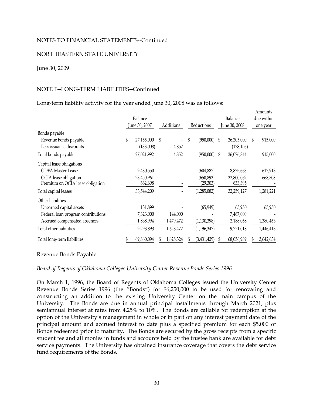#### NORTHEASTERN STATE UNIVERSITY

#### June 30, 2009

#### NOTE F--LONG-TERM LIABILITIES--Continued

Long-term liability activity for the year ended June 30, 2008 was as follows:

|                                                                                                                                               | Balance<br>June 30, 2007 |                                                  | Additions |                                   | Reductions | Balance<br>June 30, 2008                             |   | Amounts<br>due within<br>one year                |    |                                  |
|-----------------------------------------------------------------------------------------------------------------------------------------------|--------------------------|--------------------------------------------------|-----------|-----------------------------------|------------|------------------------------------------------------|---|--------------------------------------------------|----|----------------------------------|
| Bonds payable<br>Revenue bonds payable<br>Less issuance discounts                                                                             | \$                       | 27,155,000<br>(133,008)                          | \$        | 4,852                             | \$         | (950,000)                                            | S | 26,205,000<br>(128, 156)                         | \$ | 915,000                          |
| Total bonds payable                                                                                                                           |                          | 27,021,992                                       |           | 4,852                             |            | (950,000)                                            | S | 26,076,844                                       |    | 915,000                          |
| Capital lease obligations<br><b>ODFA Master Lease</b><br>OCIA lease obligation<br>Premium on OCIA lease obligation<br>Total capital leases    |                          | 9,430,550<br>23,450,961<br>662,698<br>33,544,209 |           |                                   |            | (604, 887)<br>(650, 892)<br>(29, 303)<br>(1,285,082) |   | 8,825,663<br>22,800,069<br>633,395<br>32,259,127 |    | 612,913<br>668,308<br>1,281,221  |
| Other liabilities<br>Unearned capital assets<br>Federal loan program contributions<br>Accrued compensated absences<br>Total other liabilities |                          | 131,899<br>7,323,000<br>1,838,994<br>9,293,893   |           | 144,000<br>1,479,472<br>1,623,472 |            | (65, 949)<br>(1, 130, 398)<br>(1, 196, 347)          |   | 65,950<br>7,467,000<br>2,188,068<br>9,721,018    |    | 65,950<br>1,380,463<br>1,446,413 |
| Total long-term liabilities                                                                                                                   |                          | 69,860,094                                       |           | 1,628,324                         |            | (3,431,429)                                          |   | 68,056,989                                       |    | 3,642,634                        |

#### Revenue Bonds Payable

#### *Board of Regents of Oklahoma Colleges University Center Revenue Bonds Series 1996*

On March 1, 1996, the Board of Regents of Oklahoma Colleges issued the University Center Revenue Bonds Series 1996 (the "Bonds") for \$6,250,000 to be used for renovating and constructing an addition to the existing University Center on the main campus of the University. The Bonds are due in annual principal installments through March 2021, plus semiannual interest at rates from 4.25% to 10%. The Bonds are callable for redemption at the option of the University's management in whole or in part on any interest payment date of the principal amount and accrued interest to date plus a specified premium for each \$5,000 of Bonds redeemed prior to maturity. The Bonds are secured by the gross receipts from a specific student fee and all monies in funds and accounts held by the trustee bank are available for debt service payments. The University has obtained insurance coverage that covers the debt service fund requirements of the Bonds.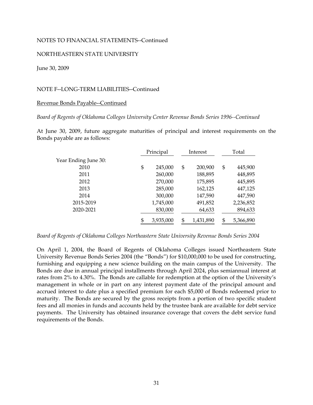#### NORTHEASTERN STATE UNIVERSITY

#### June 30, 2009

## NOTE F--LONG-TERM LIABILITIES--Continued

#### Revenue Bonds Payable--Continued

#### *Board of Regents of Oklahoma Colleges University Center Revenue Bonds Series 1996--Continued*

At June 30, 2009, future aggregate maturities of principal and interest requirements on the Bonds payable are as follows:

|                      | Principal       | Interest |           | Total           |
|----------------------|-----------------|----------|-----------|-----------------|
| Year Ending June 30: |                 |          |           |                 |
| 2010                 | \$<br>245,000   | \$       | 200,900   | \$<br>445,900   |
| 2011                 | 260,000         |          | 188,895   | 448,895         |
| 2012                 | 270,000         |          | 175,895   | 445,895         |
| 2013                 | 285,000         |          | 162,125   | 447,125         |
| 2014                 | 300,000         |          | 147,590   | 447,590         |
| 2015-2019            | 1,745,000       |          | 491,852   | 2,236,852       |
| 2020-2021            | 830,000         |          | 64,633    | 894,633         |
|                      | \$<br>3,935,000 | \$       | 1,431,890 | \$<br>5,366,890 |

*Board of Regents of Oklahoma Colleges Northeastern State University Revenue Bonds Series 2004* 

On April 1, 2004, the Board of Regents of Oklahoma Colleges issued Northeastern State University Revenue Bonds Series 2004 (the "Bonds") for \$10,000,000 to be used for constructing, furnishing and equipping a new science building on the main campus of the University. The Bonds are due in annual principal installments through April 2024, plus semiannual interest at rates from 2% to 4.30%. The Bonds are callable for redemption at the option of the University's management in whole or in part on any interest payment date of the principal amount and accrued interest to date plus a specified premium for each \$5,000 of Bonds redeemed prior to maturity. The Bonds are secured by the gross receipts from a portion of two specific student fees and all monies in funds and accounts held by the trustee bank are available for debt service payments. The University has obtained insurance coverage that covers the debt service fund requirements of the Bonds.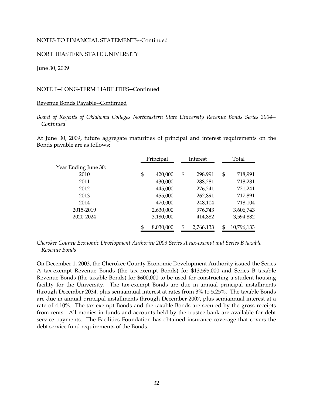#### NORTHEASTERN STATE UNIVERSITY

June 30, 2009

## NOTE F--LONG-TERM LIABILITIES--Continued

#### Revenue Bonds Payable--Continued

*Board of Regents of Oklahoma Colleges Northeastern State University Revenue Bonds Series 2004-- Continued* 

At June 30, 2009, future aggregate maturities of principal and interest requirements on the Bonds payable are as follows:

|                      | Principal |           | Interest        |    | Total      |
|----------------------|-----------|-----------|-----------------|----|------------|
| Year Ending June 30: |           |           |                 |    |            |
| 2010                 | \$        | 420,000   | \$<br>298,991   | \$ | 718,991    |
| 2011                 |           | 430,000   | 288,281         |    | 718,281    |
| 2012                 |           | 445,000   | 276,241         |    | 721,241    |
| 2013                 |           | 455,000   | 262,891         |    | 717,891    |
| 2014                 |           | 470,000   | 248,104         |    | 718,104    |
| 2015-2019            |           | 2,630,000 | 976,743         |    | 3,606,743  |
| 2020-2024            |           | 3,180,000 | 414,882         |    | 3,594,882  |
|                      | \$        | 8,030,000 | \$<br>2,766,133 | £. | 10,796,133 |

*Cherokee County Economic Development Authority 2003 Series A tax-exempt and Series B taxable Revenue Bonds* 

On December 1, 2003, the Cherokee County Economic Development Authority issued the Series A tax-exempt Revenue Bonds (the tax-exempt Bonds) for \$13,595,000 and Series B taxable Revenue Bonds (the taxable Bonds) for \$600,000 to be used for constructing a student housing facility for the University. The tax-exempt Bonds are due in annual principal installments through December 2034, plus semiannual interest at rates from 3% to 5.25%. The taxable Bonds are due in annual principal installments through December 2007, plus semiannual interest at a rate of 4.10%. The tax-exempt Bonds and the taxable Bonds are secured by the gross receipts from rents. All monies in funds and accounts held by the trustee bank are available for debt service payments. The Facilities Foundation has obtained insurance coverage that covers the debt service fund requirements of the Bonds.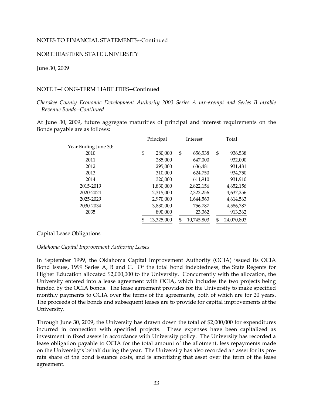#### NORTHEASTERN STATE UNIVERSITY

June 30, 2009

## NOTE F--LONG-TERM LIABILITIES--Continued

*Cherokee County Economic Development Authority 2003 Series A tax-exempt and Series B taxable Revenue Bonds--Continued* 

At June 30, 2009, future aggregate maturities of principal and interest requirements on the Bonds payable are as follows:

|                      | Principal     |    | Interest   | Total |            |  |
|----------------------|---------------|----|------------|-------|------------|--|
| Year Ending June 30: |               |    |            |       |            |  |
| 2010                 | \$<br>280,000 | \$ | 656,538    | \$    | 936,538    |  |
| 2011                 | 285,000       |    | 647,000    |       | 932,000    |  |
| 2012                 | 295,000       |    | 636,481    |       | 931,481    |  |
| 2013                 | 310,000       |    | 624,750    |       | 934,750    |  |
| 2014                 | 320,000       |    | 611,910    |       | 931,910    |  |
| 2015-2019            | 1,830,000     |    | 2,822,156  |       | 4,652,156  |  |
| 2020-2024            | 2,315,000     |    | 2,322,256  |       | 4,637,256  |  |
| 2025-2029            | 2,970,000     |    | 1,644,563  |       | 4,614,563  |  |
| 2030-2034            | 3,830,000     |    | 756,787    |       | 4,586,787  |  |
| 2035                 | 890,000       |    | 23,362     |       | 913,362    |  |
|                      | 13,325,000    | \$ | 10,745,803 | \$    | 24,070,803 |  |

#### Capital Lease Obligations

#### *Oklahoma Capital Improvement Authority Leases*

monthly payments to OCIA over the terms of the agreements, both of which are for 20 years. In September 1999, the Oklahoma Capital Improvement Authority (OCIA) issued its OCIA Bond Issues, 1999 Series A, B and C. Of the total bond indebtedness, the State Regents for Higher Education allocated \$2,000,000 to the University. Concurrently with the allocation, the University entered into a lease agreement with OCIA, which includes the two projects being funded by the OCIA bonds. The lease agreement provides for the University to make specified The proceeds of the bonds and subsequent leases are to provide for capital improvements at the University.

Through June 30, 2009, the University has drawn down the total of \$2,000,000 for expenditures incurred in connection with specified projects. These expenses have been capitalized as investment in fixed assets in accordance with University policy. The University has recorded a lease obligation payable to OCIA for the total amount of the allotment, less repayments made on the University's behalf during the year. The University has also recorded an asset for its prorata share of the bond issuance costs, and is amortizing that asset over the term of the lease agreement.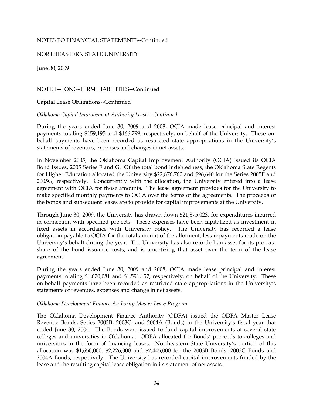## NORTHEASTERN STATE UNIVERSITY

June 30, 2009

## NOTE F--LONG-TERM LIABILITIES--Continued

#### Capital Lease Obligations--Continued

#### *Oklahoma Capital Improvement Authority Leases--Continued*

During the years ended June 30, 2009 and 2008, OCIA made lease principal and interest payments totaling \$159,195 and \$166,799, respectively, on behalf of the University. These onbehalf payments have been recorded as restricted state appropriations in the University's statements of revenues, expenses and changes in net assets.

In November 2005, the Oklahoma Capital Improvement Authority (OCIA) issued its OCIA Bond Issues, 2005 Series F and G. Of the total bond indebtedness, the Oklahoma State Regents for Higher Education allocated the University \$22,876,760 and \$96,640 for the Series 2005F and 2005G, respectively. Concurrently with the allocation, the University entered into a lease agreement with OCIA for those amounts. The lease agreement provides for the University to make specified monthly payments to OCIA over the terms of the agreements. The proceeds of the bonds and subsequent leases are to provide for capital improvements at the University.

Through June 30, 2009, the University has drawn down \$21,875,023, for expenditures incurred in connection with specified projects. These expenses have been capitalized as investment in fixed assets in accordance with University policy. The University has recorded a lease obligation payable to OCIA for the total amount of the allotment, less repayments made on the University's behalf during the year. The University has also recorded an asset for its pro-rata share of the bond issuance costs, and is amortizing that asset over the term of the lease agreement.

During the years ended June 30, 2009 and 2008, OCIA made lease principal and interest payments totaling \$1,620,081 and \$1,591,157, respectively, on behalf of the University. These on-behalf payments have been recorded as restricted state appropriations in the University's statements of revenues, expenses and change in net assets.

#### *Oklahoma Development Finance Authority Master Lease Program*

The Oklahoma Development Finance Authority (ODFA) issued the ODFA Master Lease Revenue Bonds, Series 2003B, 2003C, and 2004A (Bonds) in the University's fiscal year that ended June 30, 2004. The Bonds were issued to fund capital improvements at several state colleges and universities in Oklahoma. ODFA allocated the Bonds' proceeds to colleges and universities in the form of financing leases. Northeastern State University's portion of this allocation was \$1,650,000, \$2,226,000 and \$7,445,000 for the 2003B Bonds, 2003C Bonds and 2004A Bonds, respectively. The University has recorded capital improvements funded by the lease and the resulting capital lease obligation in its statement of net assets.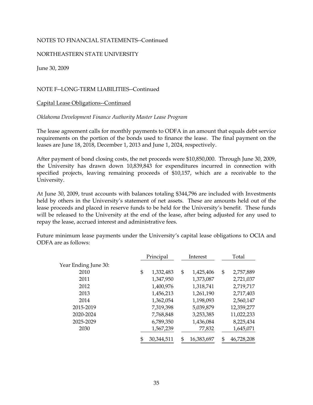## NORTHEASTERN STATE UNIVERSITY

June 30, 2009

# NOTE F--LONG-TERM LIABILITIES--Continued

### Capital Lease Obligations--Continued

### *Oklahoma Development Finance Authority Master Lease Program*

The lease agreement calls for monthly payments to ODFA in an amount that equals debt service requirements on the portion of the bonds used to finance the lease. The final payment on the leases are June 18, 2018, December 1, 2013 and June 1, 2024, respectively.

After payment of bond closing costs, the net proceeds were \$10,850,000. Through June 30, 2009, the University has drawn down 10,839,843 for expenditures incurred in connection with specified projects, leaving remaining proceeds of \$10,157, which are a receivable to the University.

At June 30, 2009, trust accounts with balances totaling \$344,796 are included with Investments held by others in the University's statement of net assets. These are amounts held out of the lease proceeds and placed in reserve funds to be held for the University's benefit. These funds will be released to the University at the end of the lease, after being adjusted for any used to repay the lease, accrued interest and administrative fees.

Future minimum lease payments under the University's capital lease obligations to OCIA and ODFA are as follows:

|                      | Principal        | Interest |            | Total            |
|----------------------|------------------|----------|------------|------------------|
| Year Ending June 30: |                  |          |            |                  |
| 2010                 | \$<br>1,332,483  | \$       | 1,425,406  | \$<br>2,757,889  |
| 2011                 | 1,347,950        |          | 1,373,087  | 2,721,037        |
| 2012                 | 1,400,976        |          | 1,318,741  | 2,719,717        |
| 2013                 | 1,456,213        |          | 1,261,190  | 2,717,403        |
| 2014                 | 1,362,054        |          | 1,198,093  | 2,560,147        |
| 2015-2019            | 7,319,398        |          | 5,039,879  | 12,359,277       |
| 2020-2024            | 7,768,848        |          | 3,253,385  | 11,022,233       |
| 2025-2029            | 6,789,350        |          | 1,436,084  | 8,225,434        |
| 2030                 | 1,567,239        |          | 77,832     | 1,645,071        |
|                      | \$<br>30,344,511 | S        | 16,383,697 | \$<br>46,728,208 |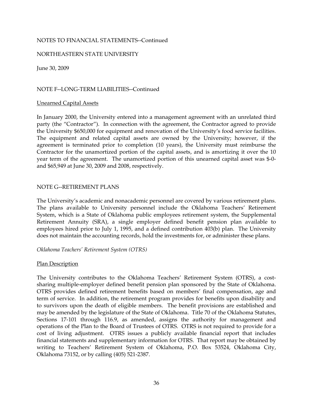### NORTHEASTERN STATE UNIVERSITY

June 30, 2009

# NOTE F--LONG-TERM LIABILITIES--Continued

#### Unearned Capital Assets

the University \$650,000 for equipment and renovation of the University's food service facilities. In January 2000, the University entered into a management agreement with an unrelated third party (the "Contractor"). In connection with the agreement, the Contractor agreed to provide The equipment and related capital assets are owned by the University; however, if the agreement is terminated prior to completion (10 years), the University must reimburse the Contractor for the unamortized portion of the capital assets, and is amortizing it over the 10 year term of the agreement. The unamortized portion of this unearned capital asset was \$-0 and \$65,949 at June 30, 2009 and 2008, respectively.

### NOTE G--RETIREMENT PLANS

The University's academic and nonacademic personnel are covered by various retirement plans. The plans available to University personnel include the Oklahoma Teachers' Retirement System, which is a State of Oklahoma public employees retirement system, the Supplemental Retirement Annuity (SRA), a single employer defined benefit pension plan available to employees hired prior to July 1, 1995, and a defined contribution 403(b) plan. The University does not maintain the accounting records, hold the investments for, or administer these plans.

#### *Oklahoma Teachers' Retirement System (OTRS)*

# Plan Description

The University contributes to the Oklahoma Teachers' Retirement System (OTRS), a costsharing multiple-employer defined benefit pension plan sponsored by the State of Oklahoma. OTRS provides defined retirement benefits based on members' final compensation, age and term of service. In addition, the retirement program provides for benefits upon disability and to survivors upon the death of eligible members. The benefit provisions are established and may be amended by the legislature of the State of Oklahoma. Title 70 of the Oklahoma Statutes, Sections 17-101 through 116.9, as amended, assigns the authority for management and operations of the Plan to the Board of Trustees of OTRS. OTRS is not required to provide for a cost of living adjustment. OTRS issues a publicly available financial report that includes financial statements and supplementary information for OTRS. That report may be obtained by writing to Teachers' Retirement System of Oklahoma, P.O. Box 53524, Oklahoma City, Oklahoma 73152, or by calling (405) 521-2387.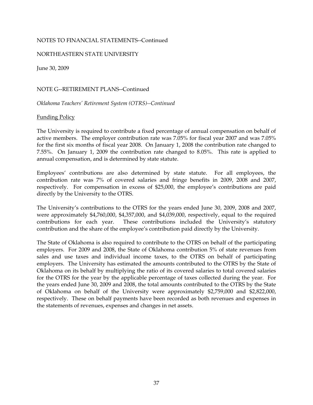## NORTHEASTERN STATE UNIVERSITY

June 30, 2009

NOTE G--RETIREMENT PLANS--Continued

*Oklahoma Teachers' Retirement System (OTRS)--Continued* 

### Funding Policy

The University is required to contribute a fixed percentage of annual compensation on behalf of active members. The employer contribution rate was 7.05% for fiscal year 2007 and was 7.05% for the first six months of fiscal year 2008. On January 1, 2008 the contribution rate changed to 7.55%. On January 1, 2009 the contribution rate changed to 8.05%. This rate is applied to annual compensation, and is determined by state statute.

Employees' contributions are also determined by state statute. For all employees, the contribution rate was 7% of covered salaries and fringe benefits in 2009, 2008 and 2007, respectively. For compensation in excess of \$25,000, the employee's contributions are paid directly by the University to the OTRS.

The University's contributions to the OTRS for the years ended June 30, 2009, 2008 and 2007, were approximately \$4,760,000, \$4,357,000, and \$4,039,000, respectively, equal to the required contributions for each year. These contributions included the University's statutory contribution and the share of the employee's contribution paid directly by the University.

The State of Oklahoma is also required to contribute to the OTRS on behalf of the participating employers. For 2009 and 2008, the State of Oklahoma contribution 5% of state revenues from sales and use taxes and individual income taxes, to the OTRS on behalf of participating employers. The University has estimated the amounts contributed to the OTRS by the State of Oklahoma on its behalf by multiplying the ratio of its covered salaries to total covered salaries for the OTRS for the year by the applicable percentage of taxes collected during the year. For the years ended June 30, 2009 and 2008, the total amounts contributed to the OTRS by the State of Oklahoma on behalf of the University were approximately \$2,759,000 and \$2,822,000, respectively. These on behalf payments have been recorded as both revenues and expenses in the statements of revenues, expenses and changes in net assets.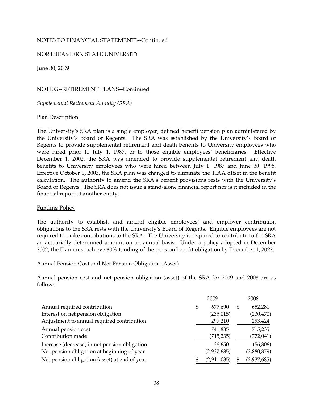## NORTHEASTERN STATE UNIVERSITY

June 30, 2009

# NOTE G--RETIREMENT PLANS--Continued

*Supplemental Retirement Annuity (SRA)* 

### Plan Description

benefits to University employees who were hired between July 1, 1987 and June 30, 1995. The University's SRA plan is a single employer, defined benefit pension plan administered by the University's Board of Regents. The SRA was established by the University's Board of Regents to provide supplemental retirement and death benefits to University employees who were hired prior to July 1, 1987, or to those eligible employees' beneficiaries. Effective December 1, 2002, the SRA was amended to provide supplemental retirement and death Effective October 1, 2003, the SRA plan was changed to eliminate the TIAA offset in the benefit calculation. The authority to amend the SRA's benefit provisions rests with the University's Board of Regents. The SRA does not issue a stand-alone financial report nor is it included in the financial report of another entity.

# Funding Policy

The authority to establish and amend eligible employees' and employer contribution obligations to the SRA rests with the University's Board of Regents. Eligible employees are not required to make contributions to the SRA. The University is required to contribute to the SRA an actuarially determined amount on an annual basis. Under a policy adopted in December 2002, the Plan must achieve 80% funding of the pension benefit obligation by December 1, 2022.

#### Annual Pension Cost and Net Pension Obligation (Asset)

Annual pension cost and net pension obligation (asset) of the SRA for 2009 and 2008 are as follows:

|                                               | 2009          | 2008          |  |
|-----------------------------------------------|---------------|---------------|--|
| Annual required contribution                  | \$<br>677,690 | \$<br>652,281 |  |
| Interest on net pension obligation            | (235, 015)    | (230, 470)    |  |
| Adjustment to annual required contribution    | 299,210       | 293,424       |  |
| Annual pension cost                           | 741,885       | 715,235       |  |
| Contribution made                             | (715, 235)    | (772, 041)    |  |
| Increase (decrease) in net pension obligation | 26,650        | (56, 806)     |  |
| Net pension obligation at beginning of year   | (2,937,685)   | (2,880,879)   |  |
| Net pension obligation (asset) at end of year | (2,911,035)   | (2,937,685)   |  |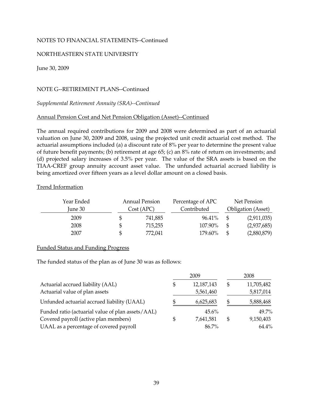# NORTHEASTERN STATE UNIVERSITY

June 30, 2009

# NOTE G--RETIREMENT PLANS--Continued

### *Supplemental Retirement Annuity (SRA)--Continued*

# Annual Pension Cost and Net Pension Obligation (Asset)--Continued

The annual required contributions for 2009 and 2008 were determined as part of an actuarial valuation on June 30, 2009 and 2008, using the projected unit credit actuarial cost method. The actuarial assumptions included (a) a discount rate of 8% per year to determine the present value of future benefit payments; (b) retirement at age 65; (c) an 8% rate of return on investments; and (d) projected salary increases of 3.5% per year. The value of the SRA assets is based on the TIAA-CREF group annuity account asset value. The unfunded actuarial accrued liability is being amortized over fifteen years as a level dollar amount on a closed basis.

#### Trend Information

| Year Ended | <b>Annual Pension</b><br>Cost (APC) | Percentage of APC | Net Pension<br><b>Obligation</b> (Asset) |             |  |
|------------|-------------------------------------|-------------------|------------------------------------------|-------------|--|
| June 30    |                                     | Contributed       |                                          |             |  |
| 2009       | 741,885                             | 96.41%            | \$                                       | (2,911,035) |  |
| 2008       | \$<br>715,255                       | 107.90%           | \$                                       | (2,937,685) |  |
| 2007       | \$<br>772,041                       | 179.60%           | S                                        | (2,880,879) |  |

#### Funded Status and Funding Progress

The funded status of the plan as of June 30 was as follows:

|                                                   | 2009       | 2008 |            |  |
|---------------------------------------------------|------------|------|------------|--|
| Actuarial accrued liability (AAL)                 | 12,187,143 | \$   | 11,705,482 |  |
| Actuarial value of plan assets                    | 5,561,460  |      | 5,817,014  |  |
| Unfunded actuarial accrued liability (UAAL)       | 6,625,683  | \$.  | 5,888,468  |  |
| Funded ratio (actuarial value of plan assets/AAL) | $45.6\%$   |      | 49.7%      |  |
| Covered payroll (active plan members)             | 7,641,581  | \$   | 9,150,403  |  |
| UAAL as a percentage of covered payroll           | 86.7%      |      | 64.4%      |  |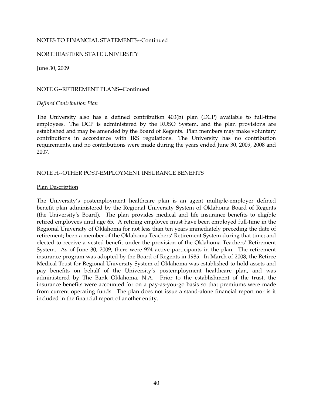### NORTHEASTERN STATE UNIVERSITY

June 30, 2009

## NOTE G--RETIREMENT PLANS--Continued

### *Defined Contribution Plan*

The University also has a defined contribution 403(b) plan (DCP) available to full-time employees. The DCP is administered by the RUSO System, and the plan provisions are established and may be amended by the Board of Regents. Plan members may make voluntary contributions in accordance with IRS regulations. The University has no contribution requirements, and no contributions were made during the years ended June 30, 2009, 2008 and 2007.

### NOTE H--OTHER POST-EMPLOYMENT INSURANCE BENEFITS

### Plan Description

The University's postemployment healthcare plan is an agent multiple-employer defined benefit plan administered by the Regional University System of Oklahoma Board of Regents (the University's Board). The plan provides medical and life insurance benefits to eligible retired employees until age 65. A retiring employee must have been employed full-time in the Regional University of Oklahoma for not less than ten years immediately preceding the date of retirement; been a member of the Oklahoma Teachers' Retirement System during that time; and elected to receive a vested benefit under the provision of the Oklahoma Teachers' Retirement System. As of June 30, 2009, there were 974 active participants in the plan. The retirement insurance program was adopted by the Board of Regents in 1985. In March of 2008, the Retiree Medical Trust for Regional University System of Oklahoma was established to hold assets and pay benefits on behalf of the University's postemployment healthcare plan, and was administered by The Bank Oklahoma, N.A. Prior to the establishment of the trust, the insurance benefits were accounted for on a pay-as-you-go basis so that premiums were made from current operating funds. The plan does not issue a stand-alone financial report nor is it included in the financial report of another entity.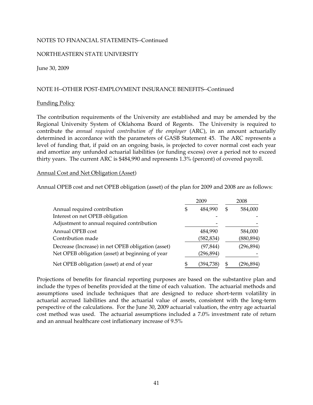### NORTHEASTERN STATE UNIVERSITY

June 30, 2009

### NOTE H--OTHER POST-EMPLOYMENT INSURANCE BENEFITS--Continued

#### Funding Policy

The contribution requirements of the University are established and may be amended by the Regional University System of Oklahoma Board of Regents. The University is required to contribute the *annual required contribution of the employer* (ARC), in an amount actuarially determined in accordance with the parameters of GASB Statement 45. The ARC represents a level of funding that, if paid on an ongoing basis, is projected to cover normal cost each year and amortize any unfunded actuarial liabilities (or funding excess) over a period not to exceed thirty years. The current ARC is \$484,990 and represents 1.3% (percent) of covered payroll.

#### Annual Cost and Net Obligation (Asset)

Annual OPEB cost and net OPEB obligation (asset) of the plan for 2009 and 2008 are as follows:

|                                                    | 2009 |            |    | 2008       |  |  |
|----------------------------------------------------|------|------------|----|------------|--|--|
| Annual required contribution                       | \$   | 484,990    | S  | 584,000    |  |  |
| Interest on net OPEB obligation                    |      |            |    |            |  |  |
| Adjustment to annual required contribution         |      |            |    |            |  |  |
| Annual OPEB cost                                   |      | 484,990    |    | 584,000    |  |  |
| Contribution made                                  |      | (582, 834) |    | (880, 894) |  |  |
| Decrease (Increase) in net OPEB obligation (asset) |      | (97, 844)  |    | (296, 894) |  |  |
| Net OPEB obligation (asset) at beginning of year   |      | (296, 894) |    |            |  |  |
| Net OPEB obligation (asset) at end of year         | ዌ    | (394,738)  | \$ | (296,894)  |  |  |

Projections of benefits for financial reporting purposes are based on the substantive plan and include the types of benefits provided at the time of each valuation. The actuarial methods and assumptions used include techniques that are designed to reduce short-term volatility in actuarial accrued liabilities and the actuarial value of assets, consistent with the long-term perspective of the calculations. For the June 30, 2009 actuarial valuation, the entry age actuarial cost method was used. The actuarial assumptions included a 7.0% investment rate of return and an annual healthcare cost inflationary increase of 9.5%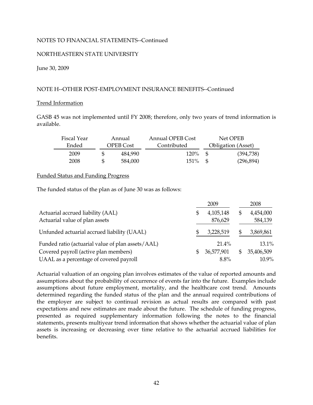# NORTHEASTERN STATE UNIVERSITY

June 30, 2009

## NOTE H--OTHER POST-EMPLOYMENT INSURANCE BENEFITS--Continued

#### Trend Information

GASB 45 was not implemented until FY 2008; therefore, only two years of trend information is available.

| Fiscal Year | Annual    | <b>Annual OPEB Cost</b> |      | Net OPEB                  |
|-------------|-----------|-------------------------|------|---------------------------|
| Ended       | OPEB Cost | Contributed             |      | <b>Obligation</b> (Asset) |
| 2009        | 484.990   | 120 <sup>%</sup>        | - SS | (394,738)                 |
| 2008        | 584.000   | $151\%$                 | - SS | (296,894)                 |

### Funded Status and Funding Progress

The funded status of the plan as of June 30 was as follows:

|                                                                     | 2009                         |              | 2008                 |
|---------------------------------------------------------------------|------------------------------|--------------|----------------------|
| Actuarial accrued liability (AAL)<br>Actuarial value of plan assets | \$<br>4, 105, 148<br>876,629 | \$           | 4,454,000<br>584,139 |
| Unfunded actuarial accrued liability (UAAL)                         | 3,228,519                    |              | 3,869,861            |
| Funded ratio (actuarial value of plan assets/AAL)                   | $21.4\%$                     |              | $13.1\%$             |
| Covered payroll (active plan members)                               | \$<br>36,577,901             | $\mathbb{S}$ | 35,406,509           |
| UAAL as a percentage of covered payroll                             | $8.8\%$                      |              | $10.9\%$             |

Actuarial valuation of an ongoing plan involves estimates of the value of reported amounts and assumptions about the probability of occurrence of events far into the future. Examples include assumptions about future employment, mortality, and the healthcare cost trend. Amounts determined regarding the funded status of the plan and the annual required contributions of the employer are subject to continual revision as actual results are compared with past expectations and new estimates are made about the future. The schedule of funding progress, presented as required supplementary information following the notes to the financial statements, presents multiyear trend information that shows whether the actuarial value of plan assets is increasing or decreasing over time relative to the actuarial accrued liabilities for benefits.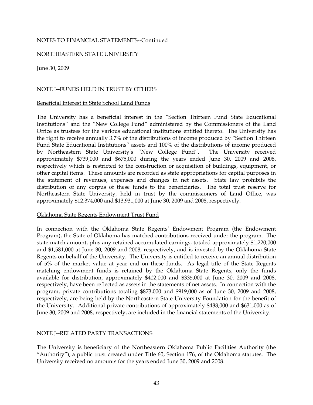### NORTHEASTERN STATE UNIVERSITY

June 30, 2009

# NOTE I--FUNDS HELD IN TRUST BY OTHERS

#### Beneficial Interest in State School Land Funds

The University has a beneficial interest in the "Section Thirteen Fund State Educational Institutions" and the "New College Fund" administered by the Commissioners of the Land Office as trustees for the various educational institutions entitled thereto. The University has the right to receive annually 3.7% of the distributions of income produced by "Section Thirteen Fund State Educational Institutions" assets and 100% of the distributions of income produced by Northeastern State University's "New College Fund". The University received approximately \$739,000 and \$675,000 during the years ended June 30, 2009 and 2008, respectively which is restricted to the construction or acquisition of buildings, equipment, or other capital items. These amounts are recorded as state appropriations for capital purposes in the statement of revenues, expenses and changes in net assets. State law prohibits the distribution of any corpus of these funds to the beneficiaries. The total trust reserve for Northeastern State University, held in trust by the commissioners of Land Office, was approximately \$12,374,000 and \$13,931,000 at June 30, 2009 and 2008, respectively.

#### Oklahoma State Regents Endowment Trust Fund

In connection with the Oklahoma State Regents' Endowment Program (the Endowment Program), the State of Oklahoma has matched contributions received under the program. The state match amount, plus any retained accumulated earnings, totaled approximately \$1,220,000 and \$1,581,000 at June 30, 2009 and 2008, respectively, and is invested by the Oklahoma State Regents on behalf of the University. The University is entitled to receive an annual distribution of 5% of the market value at year end on these funds. As legal title of the State Regents matching endowment funds is retained by the Oklahoma State Regents, only the funds available for distribution, approximately \$402,000 and \$335,000 at June 30, 2009 and 2008, respectively, have been reflected as assets in the statements of net assets. In connection with the program, private contributions totaling \$873,000 and \$919,000 as of June 30, 2009 and 2008, respectively, are being held by the Northeastern State University Foundation for the benefit of the University. Additional private contributions of approximately \$488,000 and \$631,000 as of June 30, 2009 and 2008, respectively, are included in the financial statements of the University.

# NOTE J--RELATED PARTY TRANSACTIONS

The University is beneficiary of the Northeastern Oklahoma Public Facilities Authority (the "Authority"), a public trust created under Title 60, Section 176, of the Oklahoma statutes. The University received no amounts for the years ended June 30, 2009 and 2008.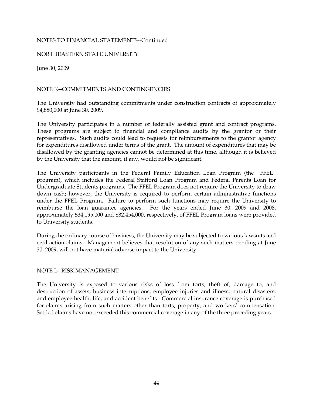### NORTHEASTERN STATE UNIVERSITY

June 30, 2009

# NOTE K--COMMITMENTS AND CONTINGENCIES

The University had outstanding commitments under construction contracts of approximately \$4,880,000 at June 30, 2009.

The University participates in a number of federally assisted grant and contract programs. for expenditures disallowed under terms of the grant. The amount of expenditures that may be These programs are subject to financial and compliance audits by the grantor or their representatives. Such audits could lead to requests for reimbursements to the grantor agency disallowed by the granting agencies cannot be determined at this time, although it is believed by the University that the amount, if any, would not be significant.

The University participants in the Federal Family Education Loan Program (the "FFEL" program), which includes the Federal Stafford Loan Program and Federal Parents Loan for Undergraduate Students programs. The FFEL Program does not require the University to draw down cash; however, the University is required to perform certain administrative functions under the FFEL Program. Failure to perform such functions may require the University to reimburse the loan guarantee agencies. For the years ended June 30, 2009 and 2008, approximately \$34,195,000 and \$32,454,000, respectively, of FFEL Program loans were provided to University students.

During the ordinary course of business, the University may be subjected to various lawsuits and civil action claims. Management believes that resolution of any such matters pending at June 30, 2009, will not have material adverse impact to the University.

#### NOTE L--RISK MANAGEMENT

for claims arising from such matters other than torts, property, and workers' compensation. The University is exposed to various risks of loss from torts; theft of, damage to, and destruction of assets; business interruptions; employee injuries and illness; natural disasters; and employee health, life, and accident benefits. Commercial insurance coverage is purchased Settled claims have not exceeded this commercial coverage in any of the three preceding years.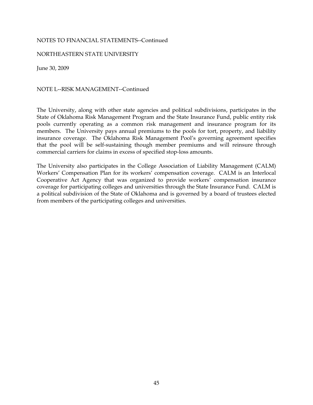### NORTHEASTERN STATE UNIVERSITY

June 30, 2009

NOTE L--RISK MANAGEMENT--Continued

The University, along with other state agencies and political subdivisions, participates in the State of Oklahoma Risk Management Program and the State Insurance Fund, public entity risk pools currently operating as a common risk management and insurance program for its members. The University pays annual premiums to the pools for tort, property, and liability insurance coverage. The Oklahoma Risk Management Pool's governing agreement specifies that the pool will be self-sustaining though member premiums and will reinsure through commercial carriers for claims in excess of specified stop-loss amounts.

The University also participates in the College Association of Liability Management (CALM) Workers' Compensation Plan for its workers' compensation coverage. CALM is an Interlocal Cooperative Act Agency that was organized to provide workers' compensation insurance coverage for participating colleges and universities through the State Insurance Fund. CALM is a political subdivision of the State of Oklahoma and is governed by a board of trustees elected from members of the participating colleges and universities.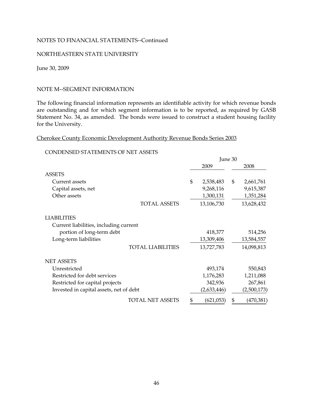### NORTHEASTERN STATE UNIVERSITY

June 30, 2009

### NOTE M--SEGMENT INFORMATION

The following financial information represents an identifiable activity for which revenue bonds are outstanding and for which segment information is to be reported, as required by GASB Statement No. 34, as amended. The bonds were issued to construct a student housing facility for the University.

# Cherokee County Economic Development Authority Revenue Bonds Series 2003

### CONDENSED STATEMENTS OF NET ASSETS

|                                         |                          | June 30 |             |    |             |
|-----------------------------------------|--------------------------|---------|-------------|----|-------------|
|                                         |                          |         | 2009        |    | 2008        |
| <b>ASSETS</b>                           |                          |         |             |    |             |
| Current assets                          |                          | \$      | 2,538,483   | \$ | 2,661,761   |
| Capital assets, net                     |                          |         | 9,268,116   |    | 9,615,387   |
| Other assets                            |                          |         | 1,300,131   |    | 1,351,284   |
|                                         | <b>TOTAL ASSETS</b>      |         | 13,106,730  |    | 13,628,432  |
| <b>LIABILITIES</b>                      |                          |         |             |    |             |
| Current liabilities, including current  |                          |         |             |    |             |
| portion of long-term debt               |                          |         | 418,377     |    | 514,256     |
| Long-term liabilities                   |                          |         | 13,309,406  |    | 13,584,557  |
|                                         | <b>TOTAL LIABILITIES</b> |         | 13,727,783  |    | 14,098,813  |
| <b>NET ASSETS</b>                       |                          |         |             |    |             |
| Unrestricted                            |                          |         | 493,174     |    | 550,843     |
| Restricted for debt services            |                          |         | 1,176,283   |    | 1,211,088   |
| Restricted for capital projects         |                          |         | 342,936     |    | 267,861     |
| Invested in capital assets, net of debt |                          |         | (2,633,446) |    | (2,500,173) |
|                                         | <b>TOTAL NET ASSETS</b>  | \$      | (621,053)   | \$ | (470,381)   |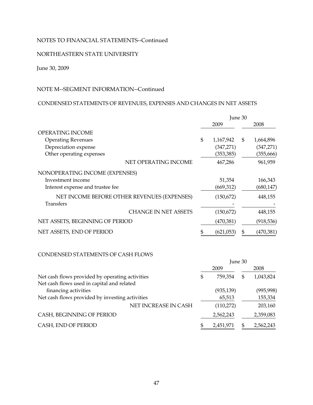# NORTHEASTERN STATE UNIVERSITY

### June 30, 2009

# NOTE M--SEGMENT INFORMATION--Continued

# CONDENSED STATEMENTS OF REVENUES, EXPENSES AND CHANGES IN NET ASSETS

|                                             | June 30         |    |            |  |
|---------------------------------------------|-----------------|----|------------|--|
|                                             | 2009            |    | 2008       |  |
| OPERATING INCOME                            |                 |    |            |  |
| <b>Operating Revenues</b>                   | \$<br>1,167,942 | \$ | 1,664,896  |  |
| Depreciation expense                        | (347,271)       |    | (347, 271) |  |
| Other operating expenses                    | (353, 385)      |    | (355, 666) |  |
| NET OPERATING INCOME                        | 467,286         |    | 961,959    |  |
| NONOPERATING INCOME (EXPENSES)              |                 |    |            |  |
| Investment income                           | 51,354          |    | 166,343    |  |
| Interest expense and trustee fee            | (669, 312)      |    | (680, 147) |  |
| NET INCOME BEFORE OTHER REVENUES (EXPENSES) | (150,672)       |    | 448,155    |  |
| <b>Transfers</b>                            |                 |    |            |  |
| <b>CHANGE IN NET ASSETS</b>                 | (150, 672)      |    | 448,155    |  |
| NET ASSETS, BEGINNING OF PERIOD             | (470,381)       |    | (918, 536) |  |
| NET ASSETS, END OF PERIOD                   | \$<br>(621,053) | \$ | (470, 381) |  |

## CONDENSED STATEMENTS OF CASH FLOWS

|                                                                    | June 30 |            |    |            |
|--------------------------------------------------------------------|---------|------------|----|------------|
|                                                                    |         | 2009       |    | 2008       |
| Net cash flows provided by operating activities                    | S       | 759,354    | \$ | 1,043,824  |
| Net cash flows used in capital and related<br>financing activities |         | (935, 139) |    | (995, 998) |
| Net cash flows provided by investing activities                    |         | 65,513     |    | 155,334    |
| NET INCREASE IN CASH                                               |         | (110,272)  |    | 203,160    |
| CASH, BEGINNING OF PERIOD                                          |         | 2,562,243  |    | 2,359,083  |
| CASH, END OF PERIOD                                                |         | 2,451,971  | Я  | 2,562,243  |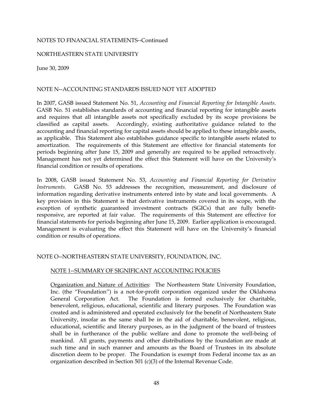### NORTHEASTERN STATE UNIVERSITY

June 30, 2009

## NOTE N--ACCOUNTING STANDARDS ISSUED NOT YET ADOPTED

periods beginning after June 15, 2009 and generally are required to be applied retroactively. In 2007, GASB issued Statement No. 51, *Accounting and Financial Reporting for Intangible Assets*. GASB No. 51 establishes standards of accounting and financial reporting for intangible assets and requires that all intangible assets not specifically excluded by its scope provisions be classified as capital assets. Accordingly, existing authoritative guidance related to the accounting and financial reporting for capital assets should be applied to these intangible assets, as applicable. This Statement also establishes guidance specific to intangible assets related to amortization. The requirements of this Statement are effective for financial statements for Management has not yet determined the effect this Statement will have on the University's financial condition or results of operations.

In 2008, GASB issued Statement No. 53, *Accounting and Financial Reporting for Derivative Instruments.* GASB No. 53 addresses the recognition, measurement, and disclosure of information regarding derivative instruments entered into by state and local governments. A key provision in this Statement is that derivative instruments covered in its scope, with the exception of synthetic guaranteed investment contracts (SGICs) that are fully benefitresponsive, are reported at fair value. The requirements of this Statement are effective for financial statements for periods beginning after June 15, 2009. Earlier application is encouraged. Management is evaluating the effect this Statement will have on the University's financial condition or results of operations.

#### NOTE O--NORTHEASTERN STATE UNIVERSITY, FOUNDATION, INC.

#### NOTE 1--SUMMARY OF SIGNIFICANT ACCOUNTING POLICIES

Organization and Nature of Activities: The Northeastern State University Foundation, Inc. (the "Foundation") is a not-for-profit corporation organized under the Oklahoma General Corporation Act. The Foundation is formed exclusively for charitable, benevolent, religious, educational, scientific and literary purposes. The Foundation was created and is administered and operated exclusively for the benefit of Northeastern State University, insofar as the same shall be in the aid of charitable, benevolent, religious, educational, scientific and literary purposes, as in the judgment of the board of trustees shall be in furtherance of the public welfare and done to promote the well-being of mankind. All grants, payments and other distributions by the foundation are made at such time and in such manner and amounts as the Board of Trustees in its absolute discretion deem to be proper. The Foundation is exempt from Federal income tax as an organization described in Section 501 (c)(3) of the Internal Revenue Code.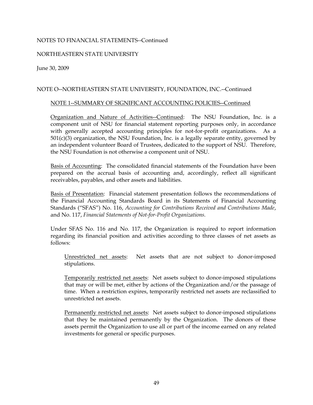# NORTHEASTERN STATE UNIVERSITY

June 30, 2009

# NOTE O--NORTHEASTERN STATE UNIVERSITY, FOUNDATION, INC.--Continued

#### NOTE 1--SUMMARY OF SIGNIFICANT ACCOUNTING POLICIES--Continued

Organization and Nature of Activities--Continued: The NSU Foundation, Inc. is a component unit of NSU for financial statement reporting purposes only, in accordance with generally accepted accounting principles for not-for-profit organizations. As a  $501(c)(3)$  organization, the NSU Foundation, Inc. is a legally separate entity, governed by an independent volunteer Board of Trustees, dedicated to the support of NSU. Therefore, the NSU Foundation is not otherwise a component unit of NSU.

Basis of Accounting: The consolidated financial statements of the Foundation have been prepared on the accrual basis of accounting and, accordingly, reflect all significant receivables, payables, and other assets and liabilities.

Basis of Presentation: Financial statement presentation follows the recommendations of the Financial Accounting Standards Board in its Statements of Financial Accounting Standards ("SFAS") No. 116, *Accounting for Contributions Received and Contributions Made*, and No. 117, *Financial Statements of Not-for-Profit Organizations.* 

Under SFAS No. 116 and No. 117, the Organization is required to report information regarding its financial position and activities according to three classes of net assets as follows:

Unrestricted net assets: Net assets that are not subject to donor-imposed stipulations.

Temporarily restricted net assets: Net assets subject to donor-imposed stipulations that may or will be met, either by actions of the Organization and/or the passage of time. When a restriction expires, temporarily restricted net assets are reclassified to unrestricted net assets.

Permanently restricted net assets: Net assets subject to donor-imposed stipulations that they be maintained permanently by the Organization. The donors of these assets permit the Organization to use all or part of the income earned on any related investments for general or specific purposes.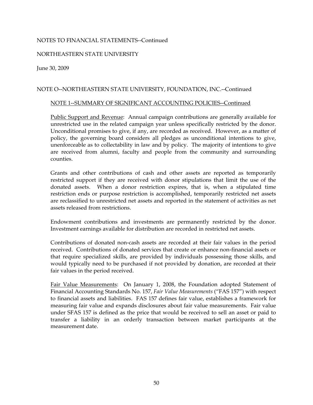### NORTHEASTERN STATE UNIVERSITY

June 30, 2009

## NOTE O--NORTHEASTERN STATE UNIVERSITY, FOUNDATION, INC.--Continued

#### NOTE 1--SUMMARY OF SIGNIFICANT ACCOUNTING POLICIES--Continued

Public Support and Revenue: Annual campaign contributions are generally available for unrestricted use in the related campaign year unless specifically restricted by the donor. Unconditional promises to give, if any, are recorded as received. However, as a matter of policy, the governing board considers all pledges as unconditional intentions to give, unenforceable as to collectability in law and by policy. The majority of intentions to give are received from alumni, faculty and people from the community and surrounding counties.

Grants and other contributions of cash and other assets are reported as temporarily restricted support if they are received with donor stipulations that limit the use of the donated assets. When a donor restriction expires, that is, when a stipulated time restriction ends or purpose restriction is accomplished, temporarily restricted net assets are reclassified to unrestricted net assets and reported in the statement of activities as net assets released from restrictions.

Endowment contributions and investments are permanently restricted by the donor. Investment earnings available for distribution are recorded in restricted net assets.

Contributions of donated non-cash assets are recorded at their fair values in the period received. Contributions of donated services that create or enhance non-financial assets or that require specialized skills, are provided by individuals possessing those skills, and would typically need to be purchased if not provided by donation, are recorded at their fair values in the period received.

Fair Value Measurements: On January 1, 2008, the Foundation adopted Statement of Financial Accounting Standards No. 157, *Fair Value Measurements* ("FAS 157") with respect to financial assets and liabilities. FAS 157 defines fair value, establishes a framework for measuring fair value and expands disclosures about fair value measurements. Fair value under SFAS 157 is defined as the price that would be received to sell an asset or paid to transfer a liability in an orderly transaction between market participants at the measurement date.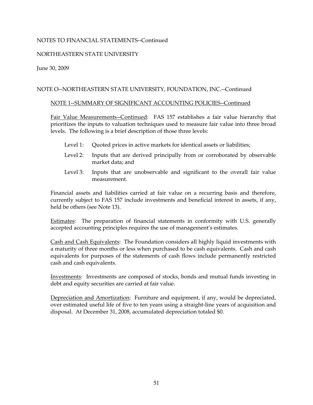# NORTHEASTERN STATE UNIVERSITY

June 30, 2009

# NOTE O--NORTHEASTERN STATE UNIVERSITY, FOUNDATION, INC.--Continued

### NOTE 1--SUMMARY OF SIGNIFICANT ACCOUNTING POLICIES--Continued

Fair Value Measurements--Continued: FAS 157 establishes a fair value hierarchy that prioritizes the inputs to valuation techniques used to measure fair value into three broad levels. The following is a brief description of those three levels:

- Level 1: Quoted prices in active markets for identical assets or liabilities;
- Level 2: Inputs that are derived principally from or corroborated by observable market data; and
- Level 3: Inputs that are unobservable and significant to the overall fair value measurement.

Financial assets and liabilities carried at fair value on a recurring basis and therefore, currently subject to FAS 157 include investments and beneficial interest in assets, if any, held be others (see Note 13).

Estimates: The preparation of financial statements in conformity with U.S. generally accepted accounting principles requires the use of management's estimates.

Cash and Cash Equivalents: The Foundation considers all highly liquid investments with a maturity of three months or less when purchased to be cash equivalents. Cash and cash equivalents for purposes of the statements of cash flows include permanently restricted cash and cash equivalents.

Investments: Investments are composed of stocks, bonds and mutual funds investing in debt and equity securities are carried at fair value.

Depreciation and Amortization: Furniture and equipment, if any, would be depreciated, over estimated useful life of five to ten years using a straight-line years of acquisition and disposal. At December 31, 2008, accumulated depreciation totaled \$0.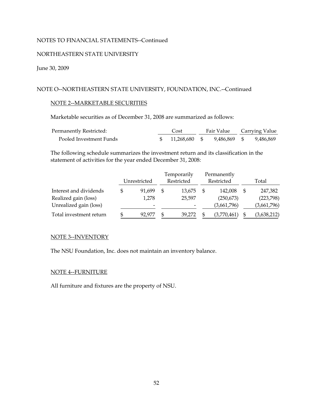## NORTHEASTERN STATE UNIVERSITY

## June 30, 2009

## NOTE O--NORTHEASTERN STATE UNIVERSITY, FOUNDATION, INC.--Continued

#### NOTE 2--MARKETABLE SECURITIES

Marketable securities as of December 31, 2008 are summarized as follows:

| <b>Permanently Restricted:</b> | Cost |                            |  | Fair Value Carrying Value |           |  |
|--------------------------------|------|----------------------------|--|---------------------------|-----------|--|
| Pooled Investment Funds        |      | 11.268.680 \$ 9.486.869 \$ |  |                           | 9.486.869 |  |

The following schedule summarizes the investment return and its classification in the statement of activities for the year ended December 31, 2008:

|                         |              |                          |            | Temporarily |            | Permanently |       |             |
|-------------------------|--------------|--------------------------|------------|-------------|------------|-------------|-------|-------------|
|                         | Unrestricted |                          | Restricted |             | Restricted |             | Total |             |
| Interest and dividends  |              | 91.699                   | S          | 13,675      |            | 142,008     |       | 247,382     |
| Realized gain (loss)    |              | 1,278                    |            | 25,597      |            | (250,673)   |       | (223,798)   |
| Unrealized gain (loss)  |              | $\overline{\phantom{a}}$ |            |             |            | (3,661,796) |       | (3,661,796) |
| Total investment return |              | 92.977                   | \$         | 39.272      |            | (3,770,461) |       | (3,638,212) |

#### NOTE 3--INVENTORY

The NSU Foundation, Inc. does not maintain an inventory balance.

#### NOTE 4--FURNITURE

All furniture and fixtures are the property of NSU.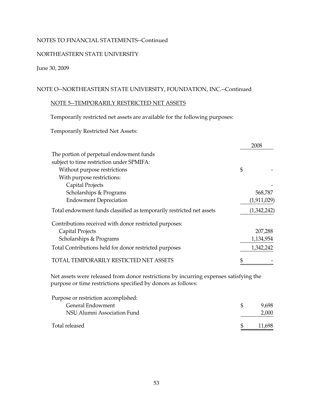## NORTHEASTERN STATE UNIVERSITY

# June 30, 2009

# NOTE O--NORTHEASTERN STATE UNIVERSITY, FOUNDATION, INC.--Continued

# NOTE 5--TEMPORARILY RESTRICTED NET ASSETS

Temporarily restricted net assets are available for the following purposes:

Temporarily Restricted Net Assets:

|                                                                                       | 2008        |
|---------------------------------------------------------------------------------------|-------------|
| The portion of perpetual endowment funds                                              |             |
| subject to time restriction under SPMIFA:                                             |             |
| Without purpose restrictions                                                          | \$          |
| With purpose restrictions:                                                            |             |
| Capital Projects                                                                      |             |
| Scholarships & Programs                                                               | 568,787     |
| <b>Endowment Depreciation</b>                                                         | (1,911,029) |
| Total endowment funds classified as temporarily restricted net assets                 | (1,342,242) |
| Contributions received with donor restricted purposes:                                |             |
| Capital Projects                                                                      | 207,288     |
| Scholarships & Programs                                                               | 1,134,954   |
| Total Contributions held for donor restricted purposes                                | 1,342,242   |
| TOTAL TEMPORARILY RESTICTED NET ASSETS                                                |             |
| Net assets were released from donor restrictions by incurring expenses satisfying the |             |

purpose or time restrictions specified by donors as follows:

| Purpose or restriction accomplished: |        |
|--------------------------------------|--------|
| General Endowment                    | 9.698  |
| NSU Alumni Association Fund          | 2,000  |
| Total released                       | 11,698 |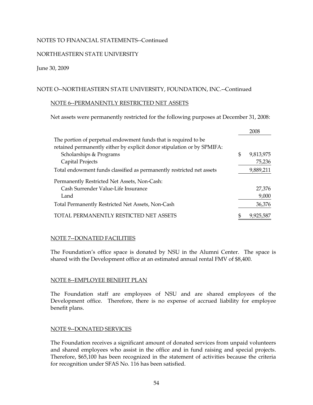# NORTHEASTERN STATE UNIVERSITY

### June 30, 2009

# NOTE O--NORTHEASTERN STATE UNIVERSITY, FOUNDATION, INC.--Continued

#### NOTE 6--PERMANENTLY RESTRICTED NET ASSETS

Net assets were permanently restricted for the following purposes at December 31, 2008:

|                                                                         |    | 2008      |
|-------------------------------------------------------------------------|----|-----------|
| The portion of perpetual endowment funds that is required to be         |    |           |
| retained permanently either by explicit donor stipulation or by SPMIFA: |    |           |
| Scholarships & Programs                                                 | \$ | 9,813,975 |
| Capital Projects                                                        |    | 75,236    |
| Total endowment funds classified as permanently restricted net assets   |    | 9,889,211 |
| Permanently Restricted Net Assets, Non-Cash:                            |    |           |
| Cash Surrender Value-Life Insurance                                     |    | 27,376    |
| Land                                                                    |    | 9,000     |
| Total Permanently Restricted Net Assets, Non-Cash                       |    | 36,376    |
| PERMANENTLY RESTICTED NET ASSETS                                        | S  | 9,925,587 |

# NOTE 7--DONATED FACILITIES

The Foundation's office space is donated by NSU in the Alumni Center. The space is shared with the Development office at an estimated annual rental FMV of \$8,400.

#### NOTE 8--EMPLOYEE BENEFIT PLAN

The Foundation staff are employees of NSU and are shared employees of the Development office. Therefore, there is no expense of accrued liability for employee benefit plans.

# NOTE 9--DONATED SERVICES

The Foundation receives a significant amount of donated services from unpaid volunteers and shared employees who assist in the office and in fund raising and special projects. Therefore, \$65,100 has been recognized in the statement of activities because the criteria for recognition under SFAS No. 116 has been satisfied.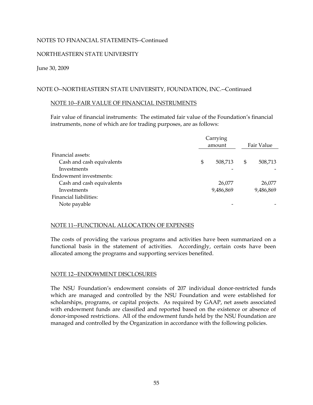# NORTHEASTERN STATE UNIVERSITY

### June 30, 2009

# NOTE O--NORTHEASTERN STATE UNIVERSITY, FOUNDATION, INC.--Continued

#### NOTE 10--FAIR VALUE OF FINANCIAL INSTRUMENTS

Fair value of financial instruments: The estimated fair value of the Foundation's financial instruments, none of which are for trading purposes, are as follows:

|                           | Carrying |           |    |            |  |
|---------------------------|----------|-----------|----|------------|--|
|                           |          | amount    |    | Fair Value |  |
| Financial assets:         |          |           |    |            |  |
| Cash and cash equivalents | \$       | 508,713   | \$ | 508,713    |  |
| Investments               |          |           |    |            |  |
| Endowment investments:    |          |           |    |            |  |
| Cash and cash equivalents |          | 26,077    |    | 26,077     |  |
| Investments               |          | 9,486,869 |    | 9,486,869  |  |
| Financial liabilities:    |          |           |    |            |  |
| Note payable              |          |           |    |            |  |
|                           |          |           |    |            |  |

#### NOTE 11--FUNCTIONAL ALLOCATION OF EXPENSES

The costs of providing the various programs and activities have been summarized on a functional basis in the statement of activities. Accordingly, certain costs have been allocated among the programs and supporting services benefited.

# NOTE 12--ENDOWMENT DISCLOSURES

The NSU Foundation's endowment consists of 207 individual donor-restricted funds which are managed and controlled by the NSU Foundation and were established for scholarships, programs, or capital projects. As required by GAAP, net assets associated with endowment funds are classified and reported based on the existence or absence of donor-imposed restrictions. All of the endowment funds held by the NSU Foundation are managed and controlled by the Organization in accordance with the following policies.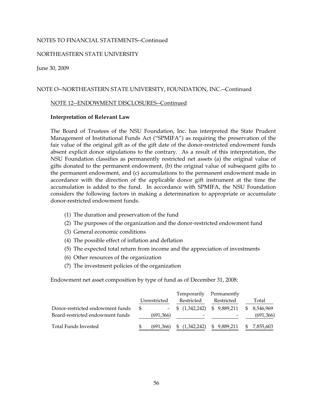### NORTHEASTERN STATE UNIVERSITY

June 30, 2009

### NOTE O--NORTHEASTERN STATE UNIVERSITY, FOUNDATION, INC.--Continued

#### NOTE 12--ENDOWMENT DISCLOSURES--Continued

#### **Interpretation of Relevant Law**

The Board of Trustees of the NSU Foundation, Inc. has interpreted the State Prudent Management of Institutional Funds Act ("SPMIFA") as requiring the preservation of the fair value of the original gift as of the gift date of the donor-restricted endowment funds absent explicit donor stipulations to the contrary. As a result of this interpretation, the NSU Foundation classifies as permanently restricted net assets (a) the original value of gifts donated to the permanent endowment, (b) the original value of subsequent gifts to the permanent endowment, and (c) accumulations to the permanent endowment made in accordance with the direction of the applicable donor gift instrument at the time the accumulation is added to the fund. In accordance with SPMIFA, the NSU Foundation considers the following factors in making a determination to appropriate or accumulate donor-restricted endowment funds.

- (1) The duration and preservation of the fund
- (2) The purposes of the organization and the donor-restricted endowment fund
- (3) General economic conditions
- (4) The possible effect of inflation and deflation
- (5) The expected total return from income and the appreciation of investments
- (6) Other resources of the organization
- (7) The investment policies of the organization

Endowment net asset composition by type of fund as of December 31, 2008:

|                                                                      |     |              | Temporarily                       | Permanently  |     |                        |
|----------------------------------------------------------------------|-----|--------------|-----------------------------------|--------------|-----|------------------------|
|                                                                      |     | Unrestricted | Restricted                        | Restricted   |     | Total                  |
| Donor-restricted endowment funds<br>Board-restricted endowment funds | \$. | (691,366)    | $-$ \$ $(1,342,242)$ \$ 9,889,211 |              | SS. | 8.546.969<br>(691,366) |
| Total Funds Invested                                                 |     | (691,366)    | (1,342,242)<br>SS.                | \$ 9,889,211 | SS. | 7,855,603              |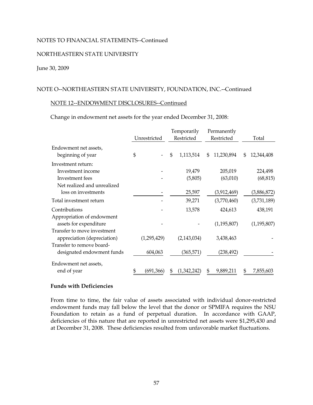#### NORTHEASTERN STATE UNIVERSITY

#### June 30, 2009

### NOTE O--NORTHEASTERN STATE UNIVERSITY, FOUNDATION, INC.--Continued

#### NOTE 12--ENDOWMENT DISCLOSURES--Continued

Change in endowment net assets for the year ended December 31, 2008:

|                                            | Unrestricted | Temporarily<br>Restricted | Permanently<br>Restricted | Total            |
|--------------------------------------------|--------------|---------------------------|---------------------------|------------------|
| Endowment net assets,<br>beginning of year | \$           | \$<br>1,113,514           | \$<br>11,230,894          | \$<br>12,344,408 |
| Investment return:                         |              |                           |                           |                  |
| Investment income                          |              | 19,479                    | 205,019                   | 224,498          |
| Investment fees                            |              | (5,805)                   | (63,010)                  | (68, 815)        |
| Net realized and unrealized                |              |                           |                           |                  |
| loss on investments                        |              | 25,597                    | (3,912,469)               | (3,886,872)      |
| Total investment return                    |              | 39,271                    | (3,770,460)               | (3,731,189)      |
| Contributions                              |              | 13,578                    | 424,613                   | 438,191          |
| Appropriation of endowment                 |              |                           |                           |                  |
| assets for expenditure                     |              |                           | (1, 195, 807)             | (1, 195, 807)    |
| Transfer to move investment                |              |                           |                           |                  |
| appreciation (depreciation)                | (1,295,429)  | (2,143,034)               | 3,438,463                 |                  |
| Transfer to remove board-                  |              |                           |                           |                  |
| designated endowment funds                 | 604,063      | (365,571)                 | (238,492)                 |                  |
| Endowment net assets,                      |              |                           |                           |                  |
| end of year                                | (691,366)    | \$<br>(1,342,242)         | \$<br>9,889,211           | \$<br>7,855,603  |

#### **Funds with Deficiencies**

From time to time, the fair value of assets associated with individual donor-restricted endowment funds may fall below the level that the donor or SPMIFA requires the NSU Foundation to retain as a fund of perpetual duration. In accordance with GAAP, deficiencies of this nature that are reported in unrestricted net assets were \$1,295,430 and at December 31, 2008. These deficiencies resulted from unfavorable market fluctuations.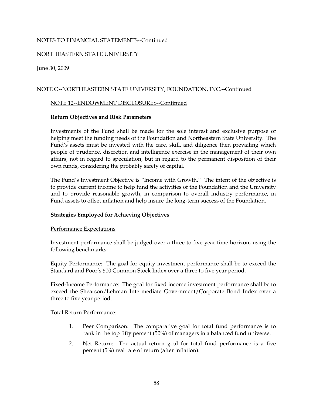# NORTHEASTERN STATE UNIVERSITY

June 30, 2009

## NOTE O--NORTHEASTERN STATE UNIVERSITY, FOUNDATION, INC.--Continued

#### NOTE 12--ENDOWMENT DISCLOSURES--Continued

#### **Return Objectives and Risk Parameters**

Investments of the Fund shall be made for the sole interest and exclusive purpose of helping meet the funding needs of the Foundation and Northeastern State University. The Fund's assets must be invested with the care, skill, and diligence then prevailing which people of prudence, discretion and intelligence exercise in the management of their own affairs, not in regard to speculation, but in regard to the permanent disposition of their own funds, considering the probably safety of capital.

The Fund's Investment Objective is "Income with Growth." The intent of the objective is to provide current income to help fund the activities of the Foundation and the University and to provide reasonable growth, in comparison to overall industry performance, in Fund assets to offset inflation and help insure the long-term success of the Foundation.

# **Strategies Employed for Achieving Objectives**

#### Performance Expectations

Investment performance shall be judged over a three to five year time horizon, using the following benchmarks:

Equity Performance: The goal for equity investment performance shall be to exceed the Standard and Poor's 500 Common Stock Index over a three to five year period.

Fixed-Income Performance: The goal for fixed income investment performance shall be to exceed the Shearson/Lehman Intermediate Government/Corporate Bond Index over a three to five year period.

Total Return Performance:

- 1. Peer Comparison: The comparative goal for total fund performance is to rank in the top fifty percent (50%) of managers in a balanced fund universe.
- 2. Net Return: The actual return goal for total fund performance is a five percent (5%) real rate of return (after inflation).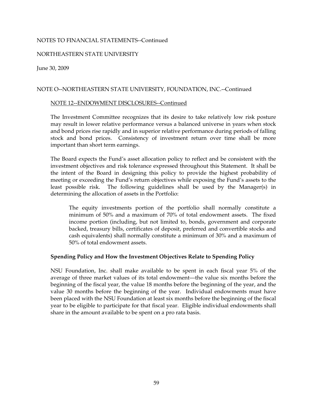### NORTHEASTERN STATE UNIVERSITY

June 30, 2009

### NOTE O--NORTHEASTERN STATE UNIVERSITY, FOUNDATION, INC.--Continued

#### NOTE 12--ENDOWMENT DISCLOSURES--Continued

The Investment Committee recognizes that its desire to take relatively low risk posture may result in lower relative performance versus a balanced universe in years when stock and bond prices rise rapidly and in superior relative performance during periods of falling stock and bond prices. Consistency of investment return over time shall be more important than short term earnings.

The Board expects the Fund's asset allocation policy to reflect and be consistent with the investment objectives and risk tolerance expressed throughout this Statement. It shall be the intent of the Board in designing this policy to provide the highest probability of meeting or exceeding the Fund's return objectives while exposing the Fund's assets to the least possible risk. The following guidelines shall be used by the Manager(s) in determining the allocation of assets in the Portfolio:

The equity investments portion of the portfolio shall normally constitute a minimum of 50% and a maximum of 70% of total endowment assets. The fixed income portion (including, but not limited to, bonds, government and corporate backed, treasury bills, certificates of deposit, preferred and convertible stocks and cash equivalents) shall normally constitute a minimum of 30% and a maximum of 50% of total endowment assets.

#### **Spending Policy and How the Investment Objectives Relate to Spending Policy**

NSU Foundation, Inc. shall make available to be spent in each fiscal year 5% of the average of three market values of its total endowment—the value six months before the beginning of the fiscal year, the value 18 months before the beginning of the year, and the value 30 months before the beginning of the year. Individual endowments must have been placed with the NSU Foundation at least six months before the beginning of the fiscal year to be eligible to participate for that fiscal year. Eligible individual endowments shall share in the amount available to be spent on a pro rata basis.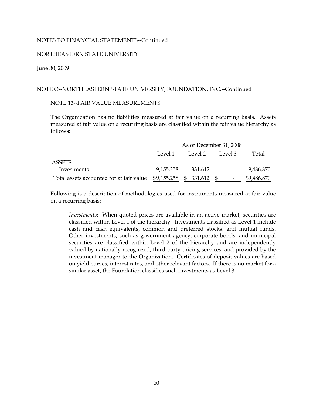### NORTHEASTERN STATE UNIVERSITY

#### June 30, 2009

### NOTE O--NORTHEASTERN STATE UNIVERSITY, FOUNDATION, INC.--Continued

#### NOTE 13--FAIR VALUE MEASUREMENTS

The Organization has no liabilities measured at fair value on a recurring basis. Assets measured at fair value on a recurring basis are classified within the fair value hierarchy as follows:

|                                          | As of December 31, 2008 |                         |                          |             |  |  |  |  |
|------------------------------------------|-------------------------|-------------------------|--------------------------|-------------|--|--|--|--|
|                                          | Level 1                 | Level 2                 | Level 3                  | Total       |  |  |  |  |
| <b>ASSETS</b>                            |                         |                         |                          |             |  |  |  |  |
| Investments                              | 9,155,258               | 331,612                 | $\overline{\phantom{a}}$ | 9,486,870   |  |  |  |  |
| Total assets accounted for at fair value |                         | $$9,155,258$ $$331,612$ |                          | \$9,486,870 |  |  |  |  |

Following is a description of methodologies used for instruments measured at fair value on a recurring basis:

*Investments*: When quoted prices are available in an active market, securities are classified within Level 1 of the hierarchy. Investments classified as Level 1 include cash and cash equivalents, common and preferred stocks, and mutual funds. Other investments, such as government agency, corporate bonds, and municipal securities are classified within Level 2 of the hierarchy and are independently valued by nationally recognized, third-party pricing services, and provided by the investment manager to the Organization. Certificates of deposit values are based on yield curves, interest rates, and other relevant factors. If there is no market for a similar asset, the Foundation classifies such investments as Level 3.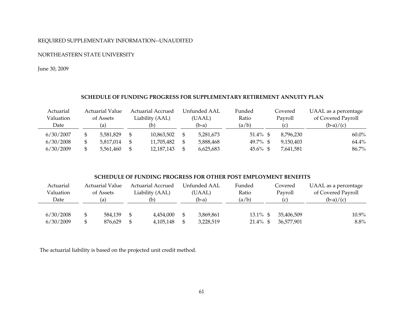### REQUIRED SUPPLEMENTARY INFORMATION--UNAUDITED

#### NORTHEASTERN STATE UNIVERSITY

June 30, 2009

### **SCHEDULE OF FUNDING PROGRESS FOR SUPPLEMENTARY RETIREMENT ANNUITY PLAN**

| Actuarial | <b>Actuarial Value</b> |  | <b>Actuarial Accrued</b> |  | Unfunded AAL | Funded   |         | Covered   | UAAL as a percentage |
|-----------|------------------------|--|--------------------------|--|--------------|----------|---------|-----------|----------------------|
| Valuation | of Assets              |  | Liability (AAL)          |  | (UAAL)       | Ratio    | Payroll |           | of Covered Payroll   |
| Date      | (a)                    |  | (b)                      |  | $(b-a)$      | (a/b)    |         | (c)       | $(b-a)/(c)$          |
| 6/30/2007 | 5,581,829              |  | 10,863,502               |  | 5,281,673    | 51.4% \$ |         | 8,796,230 | $60.0\%$             |
| 6/30/2008 | 5,817,014              |  | 11,705,482               |  | 5,888,468    | 49.7% \$ |         | 9,150,403 | 64.4%                |
| 6/30/2009 | 5,561,460              |  | 12,187,143               |  | 6,625,683    | 45.6% \$ |         | 7,641,581 | 86.7%                |

#### **SCHEDULE OF FUNDING PROGRESS FOR OTHER POST EMPLOYMENT BENEFITS**

| Actuarial | Actuarial Value |         |                 | <b>Actuarial Accrued</b> | Unfunded AAL    | Funded |             | Covered    | UAAL as a percentage |          |
|-----------|-----------------|---------|-----------------|--------------------------|-----------------|--------|-------------|------------|----------------------|----------|
| Valuation | of Assets       |         | Liability (AAL) |                          | Ratio<br>(UAAL) |        |             | Payroll    | of Covered Payroll   |          |
| Date      | (a)             |         |                 | (b)                      | (b-a)           | (a/b)  |             | (c         | $(b-a)/(c)$          |          |
|           |                 |         |                 |                          |                 |        |             |            |                      |          |
| 6/30/2008 | \$              | 584,139 | -96             | 4,454,000                | 3,869,861       |        | $13.1\%$ \$ | 35,406,509 |                      | $10.9\%$ |
| 6/30/2009 | \$              | 876,629 |                 | 4,105,148                | 3,228,519       |        | $21.4\%$ \$ | 36,577,901 |                      | $8.8\%$  |

The actuarial liability is based on the projected unit credit method.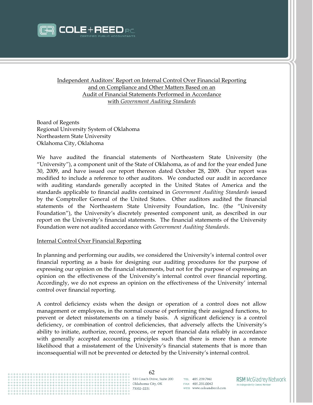

Independent Auditors' Report on Internal Control Over Financial Reporting and on Compliance and Other Matters Based on an Audit of Financial Statements Performed in Accordance with *Government Auditing Standards*

Board of Regents Regional University System of Oklahoma Northeastern State University Oklahoma City, Oklahoma

We have audited the financial statements of Northeastern State University (the "University"), a component unit of the State of Oklahoma, as of and for the year ended June 30, 2009, and have issued our report thereon dated October 28, 2009. Our report was modified to include a reference to other auditors. We conducted our audit in accordance with auditing standards generally accepted in the United States of America and the standards applicable to financial audits contained in *Government Auditing Standards* issued by the Comptroller General of the United States. Other auditors audited the financial statements of the Northeastern State University Foundation, Inc. (the "University Foundation"), the University's discretely presented component unit, as described in our report on the University's financial statements. The financial statements of the University Foundation were not audited accordance with *Government Auditing Standards*.

#### Internal Control Over Financial Reporting

In planning and performing our audits, we considered the University's internal control over financial reporting as a basis for designing our auditing procedures for the purpose of expressing our opinion on the financial statements, but not for the purpose of expressing an opinion on the effectiveness of the University's internal control over financial reporting. Accordingly, we do not express an opinion on the effectiveness of the University' internal control over financial reporting.

A control deficiency exists when the design or operation of a control does not allow management or employees, in the normal course of performing their assigned functions, to prevent or detect misstatements on a timely basis. A significant deficiency is a control deficiency, or combination of control deficiencies, that adversely affects the University's ability to initiate, authorize, record, process, or report financial data reliably in accordance with generally accepted accounting principles such that there is more than a remote likelihood that a misstatement of the University's financial statements that is more than inconsequential will not be prevented or detected by the University's internal control.



531 Couch Drive, Suite 200 Oklahoma City, OK 73102-2251

TEL 405.239.7961 FAX 405.235.0042 WEB www.coleandreed.com **RSM McGladrey Network** An Independently Owned Member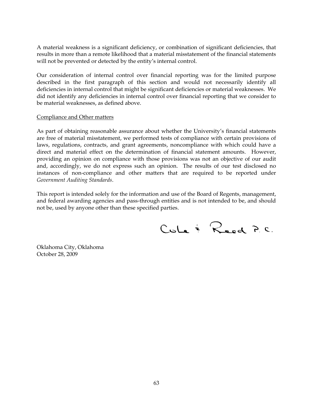A material weakness is a significant deficiency, or combination of significant deficiencies, that results in more than a remote likelihood that a material misstatement of the financial statements will not be prevented or detected by the entity's internal control.

Our consideration of internal control over financial reporting was for the limited purpose described in the first paragraph of this section and would not necessarily identify all deficiencies in internal control that might be significant deficiencies or material weaknesses. We did not identify any deficiencies in internal control over financial reporting that we consider to be material weaknesses, as defined above.

### Compliance and Other matters

As part of obtaining reasonable assurance about whether the University's financial statements are free of material misstatement, we performed tests of compliance with certain provisions of laws, regulations, contracts, and grant agreements, noncompliance with which could have a direct and material effect on the determination of financial statement amounts. However, providing an opinion on compliance with those provisions was not an objective of our audit and, accordingly, we do not express such an opinion. The results of our test disclosed no instances of non-compliance and other matters that are required to be reported under *Government Auditing Standards*.

This report is intended solely for the information and use of the Board of Regents, management, and federal awarding agencies and pass-through entities and is not intended to be, and should not be, used by anyone other than these specified parties.

CuLe & Reed P.C.

Oklahoma City, Oklahoma October 28, 2009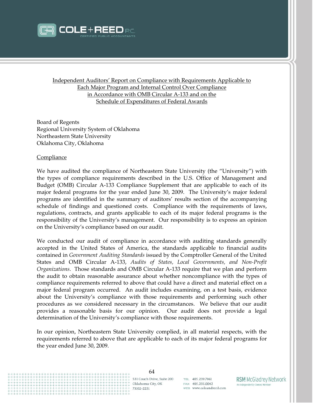

Independent Auditors' Report on Compliance with Requirements Applicable to Each Major Program and Internal Control Over Compliance in Accordance with OMB Circular A-133 and on the Schedule of Expenditures of Federal Awards

Board of Regents Regional University System of Oklahoma Northeastern State University Oklahoma City, Oklahoma

#### **Compliance**

We have audited the compliance of Northeastern State University (the "University") with the types of compliance requirements described in the U.S. Office of Management and Budget (OMB) Circular A-133 Compliance Supplement that are applicable to each of its major federal programs for the year ended June 30, 2009. The University's major federal programs are identified in the summary of auditors' results section of the accompanying schedule of findings and questioned costs. Compliance with the requirements of laws, regulations, contracts, and grants applicable to each of its major federal programs is the responsibility of the University's management. Our responsibility is to express an opinion on the University's compliance based on our audit.

We conducted our audit of compliance in accordance with auditing standards generally accepted in the United States of America, the standards applicable to financial audits contained in *Government Auditing Standards* issued by the Comptroller General of the United States and OMB Circular A-133, *Audits of States, Local Governments, and Non-Profit Organizations*. Those standards and OMB Circular A-133 require that we plan and perform the audit to obtain reasonable assurance about whether noncompliance with the types of compliance requirements referred to above that could have a direct and material effect on a major federal program occurred. An audit includes examining, on a test basis, evidence about the University's compliance with those requirements and performing such other procedures as we considered necessary in the circumstances. We believe that our audit provides a reasonable basis for our opinion. Our audit does not provide a legal determination of the University's compliance with those requirements.

In our opinion, Northeastern State University complied, in all material respects, with the requirements referred to above that are applicable to each of its major federal programs for the year ended June 30, 2009.



531 Couch Drive, Suite 200 Oklahoma City, OK 73102-2251

TEL 405.239.7961 FAX 405.235.0042 WEB www.coleandreed.com **RSM McGladrey Network** An Independently Owned Member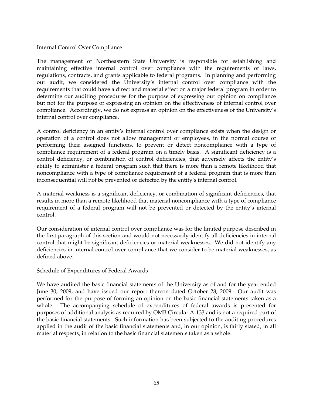## Internal Control Over Compliance

The management of Northeastern State University is responsible for establishing and maintaining effective internal control over compliance with the requirements of laws, regulations, contracts, and grants applicable to federal programs. In planning and performing our audit, we considered the University's internal control over compliance with the requirements that could have a direct and material effect on a major federal program in order to determine our auditing procedures for the purpose of expressing our opinion on compliance but not for the purpose of expressing an opinion on the effectiveness of internal control over compliance. Accordingly, we do not express an opinion on the effectiveness of the University's internal control over compliance.

A control deficiency in an entity's internal control over compliance exists when the design or operation of a control does not allow management or employees, in the normal course of performing their assigned functions, to prevent or detect noncompliance with a type of compliance requirement of a federal program on a timely basis. A significant deficiency is a control deficiency, or combination of control deficiencies, that adversely affects the entity's ability to administer a federal program such that there is more than a remote likelihood that noncompliance with a type of compliance requirement of a federal program that is more than inconsequential will not be prevented or detected by the entity's internal control.

A material weakness is a significant deficiency, or combination of significant deficiencies, that results in more than a remote likelihood that material noncompliance with a type of compliance requirement of a federal program will not be prevented or detected by the entity's internal control.

Our consideration of internal control over compliance was for the limited purpose described in the first paragraph of this section and would not necessarily identify all deficiencies in internal control that might be significant deficiencies or material weaknesses. We did not identify any deficiencies in internal control over compliance that we consider to be material weaknesses, as defined above.

# Schedule of Expenditures of Federal Awards

We have audited the basic financial statements of the University as of and for the year ended June 30, 2009, and have issued our report thereon dated October 28, 2009. Our audit was performed for the purpose of forming an opinion on the basic financial statements taken as a whole. The accompanying schedule of expenditures of federal awards is presented for purposes of additional analysis as required by OMB Circular A-133 and is not a required part of the basic financial statements. Such information has been subjected to the auditing procedures applied in the audit of the basic financial statements and, in our opinion, is fairly stated, in all material respects, in relation to the basic financial statements taken as a whole.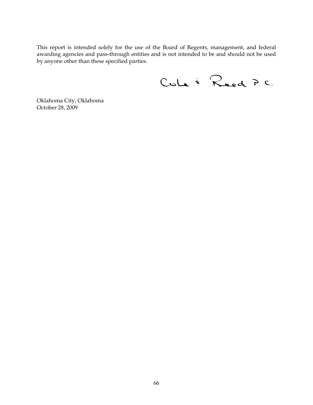This report is intended solely for the use of the Board of Regents, management, and federal awarding agencies and pass-through entities and is not intended to be and should not be used by anyone other than these specified parties.

Cule & Reed P.C.

Oklahoma City, Oklahoma October 28, 2009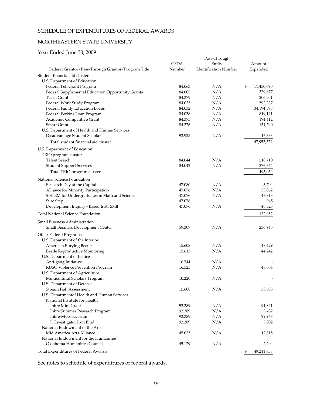# SCHEDULE OF EXPENDITURES OF FEDERAL AWARDS

# NORTHEASTERN STATE UNIVERSITY

# Year Ended June 30, 2009

|                                                    |             | Pass-Through                 |                  |
|----------------------------------------------------|-------------|------------------------------|------------------|
|                                                    | <b>CFDA</b> | Entity                       | Amount           |
| Federal Grantor/Pass-Through Grantor/Program Title | Number      | <b>Identification Number</b> | Expended         |
| Student financial aid cluster                      |             |                              |                  |
| U.S. Department of Education                       |             |                              |                  |
| Federal Pell Grant Program                         | 84.063      | N/A                          | \$<br>11,450,690 |
|                                                    | 84.007      | N/A                          | 329,877          |
| Federal Supplemental Education Opportunity Grants  |             |                              |                  |
| Teach Grant                                        | 84.379      | N/A                          | 206,501          |
| Federal Work Study Program                         | 84.033      | N/A                          | 592,237          |
| Federal Family Education Loans                     | 84.032      | N/A                          | 34,194,593       |
| Federal Perkins Loan Program                       | 84.038      | N/A                          | 819,141          |
| Academic Competitive Grant                         | 84.375      | N/A                          | 194,412          |
| Smart Grant                                        | 84.376      | N/A                          | 151,790          |
| U.S. Department of Health and Human Services       |             |                              |                  |
| Disadvantage Student Scholar                       | 93.925      | N/A                          | 16,333           |
| Total student financial aid cluster                |             |                              | 47,955,574       |
| U.S. Department of Education                       |             |                              |                  |
| TRIO program cluster                               |             |                              |                  |
| Talent Search                                      | 84.044      | N/A                          | 218,710          |
| <b>Student Support Services</b>                    | 84.042      | N/A                          | 276,344          |
|                                                    |             |                              | 495,054          |
| Total TRIO program cluster                         |             |                              |                  |
| National Science Foundation                        |             |                              |                  |
| Research Day at the Capital                        | 47.080      | N/A                          | 3,704            |
| Alliance for Minority Participation                | 47.076      | N/A                          | 33,062           |
| S-STEM for Undergraduates in Math and Science      | 47.076      | N/A                          | 47,813           |
| Sure Step                                          | 47.076      |                              | 945              |
| Development Inquiry - Based Instr Skill            | 47.076      | N/A                          | 46,528           |
| Total National Science Foundation                  |             |                              | 132,052          |
| Small Business Administration                      |             |                              |                  |
| Small Business Development Center                  | 59.307      | N/A                          | 236,943          |
|                                                    |             |                              |                  |
| Other Federal Programs                             |             |                              |                  |
| U.S. Department of the Interior                    |             |                              |                  |
| American Burying Beetle                            | 15.608      | N/A                          | 47,429           |
| Beetle Reproductive Monitoring                     | 15.615      | N/A                          | 44,242           |
| U.S. Department of Justice                         |             |                              |                  |
| Anti-gang Initiative                               | 16.744      | N/A                          |                  |
| RUSO Violence Prevention Program                   | 16.525      | N/A                          | 48,604           |
| U.S. Department of Agriculture                     |             |                              |                  |
| Multicultural Scholars Program                     | 10.220      | N/A                          |                  |
| U.S. Department of Defense                         |             |                              |                  |
| Stream Fish Assessment                             | 15.608      | N/A                          | 38,698           |
| U.S. Departmentof Health and Human Services -      |             |                              |                  |
| National Institute for Health                      |             |                              |                  |
| Inbre Mini Grant                                   | 93.389      | N/A                          | 91,841           |
| Inbre Summer Research Program                      | 93.389      | N/A                          | 3,432            |
| Inbre-Mycobacerium                                 | 93.389      | N/A                          | 99,968           |
| Jr Investigator Iron Bind                          | 93.389      | N/A                          | 3,002            |
| National Endowment of the Arts                     |             |                              |                  |
| Mid America Arts Alliance                          | 45.025      | N/A                          | 12,815           |
| National Endowment for the Humanities              |             |                              |                  |
| Oklahoma Humanities Council                        |             |                              |                  |
|                                                    | 45.129      | N/A                          | 2,204            |
| Total Expenditures of Federal Awards               |             |                              | \$<br>49,211,858 |

See notes to schedule of expenditures of federal awards.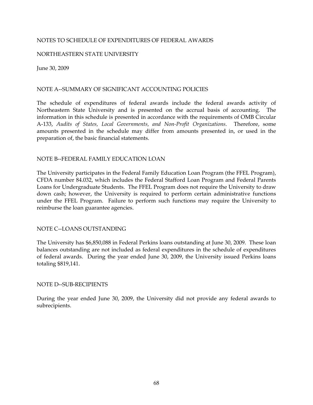### NOTES TO SCHEDULE OF EXPENDITURES OF FEDERAL AWARDS

### NORTHEASTERN STATE UNIVERSITY

June 30, 2009

## NOTE A--SUMMARY OF SIGNIFICANT ACCOUNTING POLICIES

The schedule of expenditures of federal awards include the federal awards activity of Northeastern State University and is presented on the accrual basis of accounting. The information in this schedule is presented in accordance with the requirements of OMB Circular A-133, *Audits of States, Local Governments, and Non-Profit Organizations*. Therefore, some amounts presented in the schedule may differ from amounts presented in, or used in the preparation of, the basic financial statements.

# NOTE B--FEDERAL FAMILY EDUCATION LOAN

The University participates in the Federal Family Education Loan Program (the FFEL Program), CFDA number 84.032, which includes the Federal Stafford Loan Program and Federal Parents Loans for Undergraduate Students. The FFEL Program does not require the University to draw down cash; however, the University is required to perform certain administrative functions under the FFEL Program. Failure to perform such functions may require the University to reimburse the loan guarantee agencies.

#### NOTE C--LOANS OUTSTANDING

The University has \$6,850,088 in Federal Perkins loans outstanding at June 30, 2009. These loan balances outstanding are not included as federal expenditures in the schedule of expenditures of federal awards. During the year ended June 30, 2009, the University issued Perkins loans totaling \$819,141.

#### NOTE D--SUB-RECIPIENTS

During the year ended June 30, 2009, the University did not provide any federal awards to subrecipients.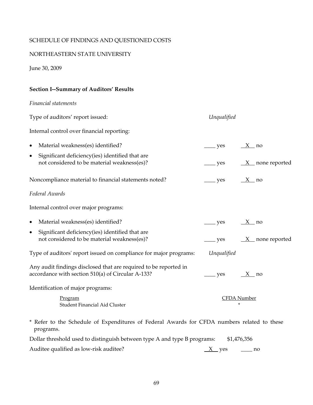# SCHEDULE OF FINDINGS AND QUESTIONED COSTS

# NORTHEASTERN STATE UNIVERSITY

June 30, 2009

# **Section I--Summary of Auditors' Results**

*Financial statements* 

| Type of auditors' report issued:                                                                                      | Unqualified              |                         |
|-----------------------------------------------------------------------------------------------------------------------|--------------------------|-------------------------|
| Internal control over financial reporting:                                                                            |                          |                         |
| Material weakness(es) identified?<br>$\bullet$                                                                        | $\rightharpoonup$ yes    | $\frac{X}{100}$ no      |
| Significant deficiency(ies) identified that are<br>$\bullet$<br>not considered to be material weakness(es)?           | $\frac{\ }{2}$ yes       | $X$ none reported       |
| Noncompliance material to financial statements noted?                                                                 | $\equiv$ yes             | $\frac{X}{100}$ no      |
| Federal Awards                                                                                                        |                          |                         |
| Internal control over major programs:                                                                                 |                          |                         |
| Material weakness(es) identified?<br>$\bullet$                                                                        | $\rule{1em}{0.15mm}$ yes | $X$ no                  |
| Significant deficiency(ies) identified that are<br>$\bullet$<br>not considered to be material weakness(es)?           | $\equiv$ yes             | $X$ none reported       |
| Type of auditors' report issued on compliance for major programs:                                                     | Unqualified              |                         |
| Any audit findings disclosed that are required to be reported in<br>accordance with section 510(a) of Circular A-133? | ves                      | $X$ no                  |
| Identification of major programs:                                                                                     |                          |                         |
| Program<br>Student Financial Aid Cluster                                                                              |                          | <b>CFDA</b> Number<br>* |

\* Refer to the Schedule of Expenditures of Federal Awards for CFDA numbers related to these programs.

| Dollar threshold used to distinguish between type A and type B programs: |         | \$1,476,356 |
|--------------------------------------------------------------------------|---------|-------------|
| Auditee qualified as low-risk auditee?                                   | $X$ yes | $\equiv$ no |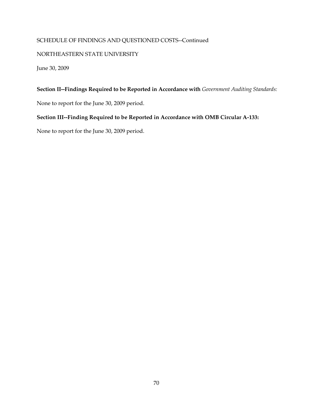# SCHEDULE OF FINDINGS AND QUESTIONED COSTS--Continued

# NORTHEASTERN STATE UNIVERSITY

June 30, 2009

# **Section II--Findings Required to be Reported in Accordance with** *Government Auditing Standards:*

None to report for the June 30, 2009 period.

# **Section III--Finding Required to be Reported in Accordance with OMB Circular A-133:**

None to report for the June 30, 2009 period.